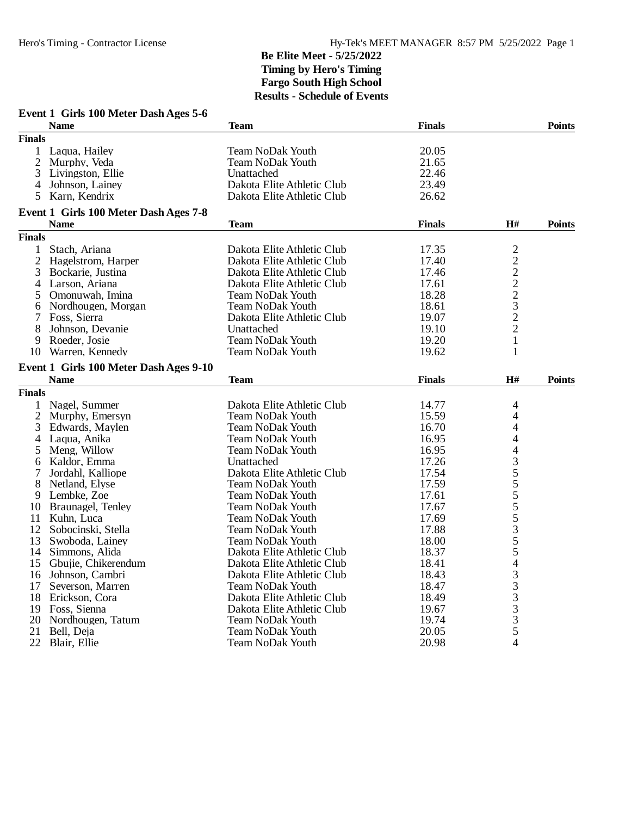|               | Event 1 Girls 100 Meter Dash Ages 5-6<br><b>Name</b> | <b>Team</b>                | <b>Finals</b> |                          | <b>Points</b> |
|---------------|------------------------------------------------------|----------------------------|---------------|--------------------------|---------------|
| <b>Finals</b> |                                                      |                            |               |                          |               |
| $\mathbf{1}$  | Laqua, Hailey                                        | <b>Team NoDak Youth</b>    | 20.05         |                          |               |
| 2             | Murphy, Veda                                         | <b>Team NoDak Youth</b>    | 21.65         |                          |               |
| 3             | Livingston, Ellie                                    | Unattached                 | 22.46         |                          |               |
| 4             | Johnson, Lainey                                      | Dakota Elite Athletic Club | 23.49         |                          |               |
| 5             | Karn, Kendrix                                        | Dakota Elite Athletic Club | 26.62         |                          |               |
|               |                                                      |                            |               |                          |               |
|               | Event 1 Girls 100 Meter Dash Ages 7-8<br><b>Name</b> | <b>Team</b>                | <b>Finals</b> | H#                       | <b>Points</b> |
| <b>Finals</b> |                                                      |                            |               |                          |               |
| $\mathbf{1}$  | Stach, Ariana                                        | Dakota Elite Athletic Club | 17.35         | $\overline{\mathbf{c}}$  |               |
| 2             | Hagelstrom, Harper                                   | Dakota Elite Athletic Club | 17.40         |                          |               |
| 3             | Bockarie, Justina                                    | Dakota Elite Athletic Club | 17.46         |                          |               |
| 4             | Larson, Ariana                                       | Dakota Elite Athletic Club | 17.61         | $2222$<br>$232$<br>$22$  |               |
| 5             | Omonuwah, Imina                                      | <b>Team NoDak Youth</b>    | 18.28         |                          |               |
| 6             | Nordhougen, Morgan                                   | <b>Team NoDak Youth</b>    | 18.61         |                          |               |
|               | Foss, Sierra                                         | Dakota Elite Athletic Club | 19.07         |                          |               |
| 7             |                                                      |                            |               |                          |               |
| 8             | Johnson, Devanie                                     | Unattached                 | 19.10         |                          |               |
| 9             | Roeder, Josie                                        | <b>Team NoDak Youth</b>    | 19.20         | $\mathbf{1}$             |               |
| 10            | Warren, Kennedy                                      | <b>Team NoDak Youth</b>    | 19.62         | 1                        |               |
|               | Event 1 Girls 100 Meter Dash Ages 9-10               |                            |               |                          |               |
|               | <b>Name</b>                                          | <b>Team</b>                | <b>Finals</b> | H#                       | <b>Points</b> |
| <b>Finals</b> |                                                      |                            |               |                          |               |
| 1             | Nagel, Summer                                        | Dakota Elite Athletic Club | 14.77         | 4                        |               |
| 2             | Murphy, Emersyn                                      | <b>Team NoDak Youth</b>    | 15.59         | 4                        |               |
| 3             | Edwards, Maylen                                      | <b>Team NoDak Youth</b>    | 16.70         | 4                        |               |
| 4             | Laqua, Anika                                         | Team NoDak Youth           | 16.95         | 4                        |               |
| 5             | Meng, Willow                                         | <b>Team NoDak Youth</b>    | 16.95         | 4                        |               |
| 6             | Kaldor, Emma                                         | Unattached                 | 17.26         |                          |               |
| 7             | Jordahl, Kalliope                                    | Dakota Elite Athletic Club | 17.54         |                          |               |
| 8             | Netland, Elyse                                       | <b>Team NoDak Youth</b>    | 17.59         | 35555355                 |               |
| 9             | Lembke, Zoe                                          | <b>Team NoDak Youth</b>    | 17.61         |                          |               |
| 10            | Braunagel, Tenley                                    | <b>Team NoDak Youth</b>    | 17.67         |                          |               |
| 11            | Kuhn, Luca                                           | <b>Team NoDak Youth</b>    | 17.69         |                          |               |
| 12            | Sobocinski, Stella                                   | <b>Team NoDak Youth</b>    | 17.88         |                          |               |
| 13            | Swoboda, Lainey                                      | <b>Team NoDak Youth</b>    | 18.00         |                          |               |
| 14            | Simmons, Alida                                       | Dakota Elite Athletic Club | 18.37         |                          |               |
| 15            | Gbujie, Chikerendum                                  | Dakota Elite Athletic Club | 18.41         | $\overline{\mathcal{L}}$ |               |
|               | 16 Johnson, Cambri                                   | Dakota Elite Athletic Club | 18.43         |                          |               |
| 17            | Severson, Marren                                     | <b>Team NoDak Youth</b>    | 18.47         | $\frac{3}{3}$            |               |
| 18            | Erickson, Cora                                       | Dakota Elite Athletic Club | 18.49         |                          |               |
|               |                                                      |                            |               | 3                        |               |
|               | 19 Foss, Sienna                                      | Dakota Elite Athletic Club | 19.67         | $\frac{3}{3}$            |               |
| 20            | Nordhougen, Tatum                                    | Team NoDak Youth           | 19.74         |                          |               |
| 21            | Bell, Deja                                           | <b>Team NoDak Youth</b>    | 20.05         | 5                        |               |
| 22            | Blair, Ellie                                         | Team NoDak Youth           | 20.98         | 4                        |               |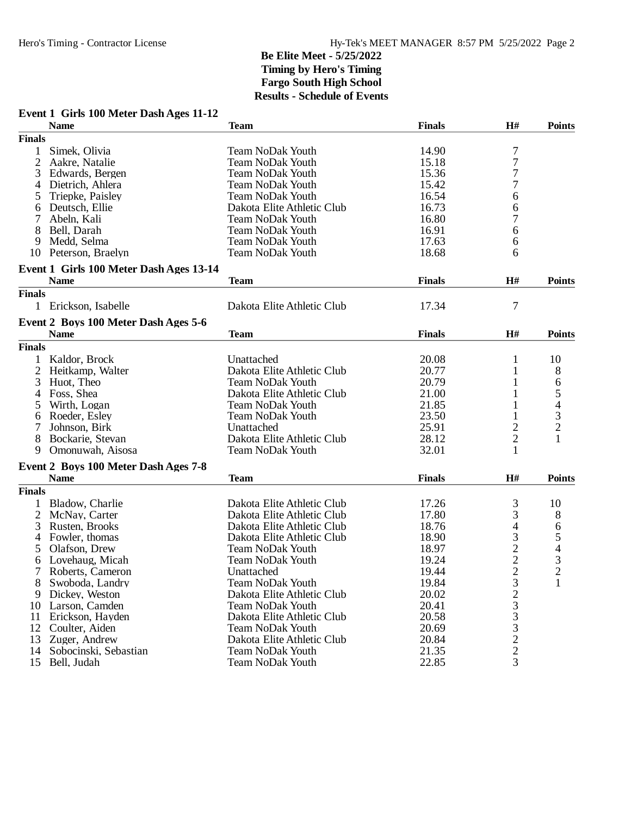# **Event 1 Girls 100 Meter Dash Ages 11-12**

|                | <b>Name</b>                                         | <b>Team</b>                                              | <b>Finals</b> | H#                       | <b>Points</b>                              |
|----------------|-----------------------------------------------------|----------------------------------------------------------|---------------|--------------------------|--------------------------------------------|
| <b>Finals</b>  |                                                     |                                                          |               |                          |                                            |
| 1              | Simek, Olivia                                       | <b>Team NoDak Youth</b>                                  | 14.90         | $\sqrt{ }$               |                                            |
| $\overline{2}$ | Aakre, Natalie                                      | <b>Team NoDak Youth</b>                                  | 15.18         | $\overline{7}$           |                                            |
| 3              | Edwards, Bergen                                     | <b>Team NoDak Youth</b>                                  | 15.36         | 7                        |                                            |
| 4              | Dietrich, Ahlera                                    | <b>Team NoDak Youth</b>                                  | 15.42         | 7                        |                                            |
| 5              | Triepke, Paisley                                    | <b>Team NoDak Youth</b>                                  | 16.54         | 6                        |                                            |
| 6              | Deutsch, Ellie                                      | Dakota Elite Athletic Club                               | 16.73         | 6                        |                                            |
| 7              | Abeln, Kali                                         | <b>Team NoDak Youth</b>                                  | 16.80         | 7                        |                                            |
| 8              | Bell, Darah                                         | <b>Team NoDak Youth</b>                                  | 16.91         | 6                        |                                            |
| 9              | Medd, Selma                                         | <b>Team NoDak Youth</b>                                  | 17.63         | 6                        |                                            |
| 10             | Peterson, Braelyn                                   | <b>Team NoDak Youth</b>                                  | 18.68         | 6                        |                                            |
|                |                                                     |                                                          |               |                          |                                            |
|                | Event 1 Girls 100 Meter Dash Ages 13-14             |                                                          |               |                          |                                            |
|                | <b>Name</b>                                         | <b>Team</b>                                              | <b>Finals</b> | H#                       | <b>Points</b>                              |
| <b>Finals</b>  |                                                     |                                                          |               |                          |                                            |
| 1              | Erickson, Isabelle                                  | Dakota Elite Athletic Club                               | 17.34         | $\overline{7}$           |                                            |
|                | Event 2 Boys 100 Meter Dash Ages 5-6                |                                                          |               |                          |                                            |
|                | <b>Name</b>                                         | <b>Team</b>                                              | <b>Finals</b> | H#                       | <b>Points</b>                              |
| <b>Finals</b>  |                                                     |                                                          |               |                          |                                            |
| 1              | Kaldor, Brock                                       | Unattached                                               | 20.08         | 1                        | 10                                         |
| $\overline{2}$ | Heitkamp, Walter                                    | Dakota Elite Athletic Club                               | 20.77         | 1                        | 8                                          |
| 3              | Huot, Theo                                          | <b>Team NoDak Youth</b>                                  | 20.79         | 1                        | 6                                          |
| 4              | Foss, Shea                                          | Dakota Elite Athletic Club                               | 21.00         | 1                        | 5                                          |
| 5              | Wirth, Logan                                        | <b>Team NoDak Youth</b>                                  | 21.85         | 1                        |                                            |
| 6              | Roeder, Esley                                       | <b>Team NoDak Youth</b>                                  | 23.50         | 1                        | $\begin{array}{c} 4 \\ 3 \\ 2 \end{array}$ |
| 7              | Johnson, Birk                                       | Unattached                                               | 25.91         | 2                        |                                            |
| 8              | Bockarie, Stevan                                    | Dakota Elite Athletic Club                               | 28.12         | $\overline{c}$           | 1                                          |
| 9              | Omonuwah, Aisosa                                    | <b>Team NoDak Youth</b>                                  | 32.01         | 1                        |                                            |
|                |                                                     |                                                          |               |                          |                                            |
|                | Event 2 Boys 100 Meter Dash Ages 7-8<br><b>Name</b> | <b>Team</b>                                              | <b>Finals</b> | H#                       | <b>Points</b>                              |
| <b>Finals</b>  |                                                     |                                                          |               |                          |                                            |
|                |                                                     |                                                          | 17.26         |                          |                                            |
| 1              | Bladow, Charlie                                     | Dakota Elite Athletic Club<br>Dakota Elite Athletic Club | 17.80         | 3                        | 10                                         |
| $\overline{c}$ | McNay, Carter                                       |                                                          |               | 3                        | 8                                          |
| 3              | Rusten, Brooks                                      | Dakota Elite Athletic Club                               | 18.76         | $\overline{\mathcal{L}}$ | 6                                          |
| 4              | Fowler, thomas                                      | Dakota Elite Athletic Club                               | 18.90         | 3                        | 5                                          |
| 5              | Olafson, Drew                                       | <b>Team NoDak Youth</b>                                  | 18.97         |                          | $\overline{\mathcal{L}}$                   |
| 6              | Lovehaug, Micah                                     | <b>Team NoDak Youth</b>                                  | 19.24         | $\frac{2}{2}$            | $\frac{3}{2}$                              |
| 7              | Roberts, Cameron                                    | Unattached                                               | 19.44         |                          |                                            |
|                | 8 Swoboda, Landry                                   | Team NoDak Youth                                         | 19.84         | 3                        |                                            |
| 9              | Dickey, Weston                                      | Dakota Elite Athletic Club                               | 20.02         | $\overline{\mathbf{c}}$  |                                            |
| 10             | Larson, Camden                                      | <b>Team NoDak Youth</b>                                  | 20.41         | 3                        |                                            |
| 11             | Erickson, Hayden                                    | Dakota Elite Athletic Club                               | 20.58         | 3                        |                                            |
| 12             | Coulter, Aiden                                      | <b>Team NoDak Youth</b>                                  | 20.69         | 3                        |                                            |
| 13             | Zuger, Andrew                                       | Dakota Elite Athletic Club                               | 20.84         | $\frac{2}{2}$            |                                            |
| 14             | Sobocinski, Sebastian                               | <b>Team NoDak Youth</b>                                  | 21.35         |                          |                                            |
| 15             | Bell, Judah                                         | <b>Team NoDak Youth</b>                                  | 22.85         | 3                        |                                            |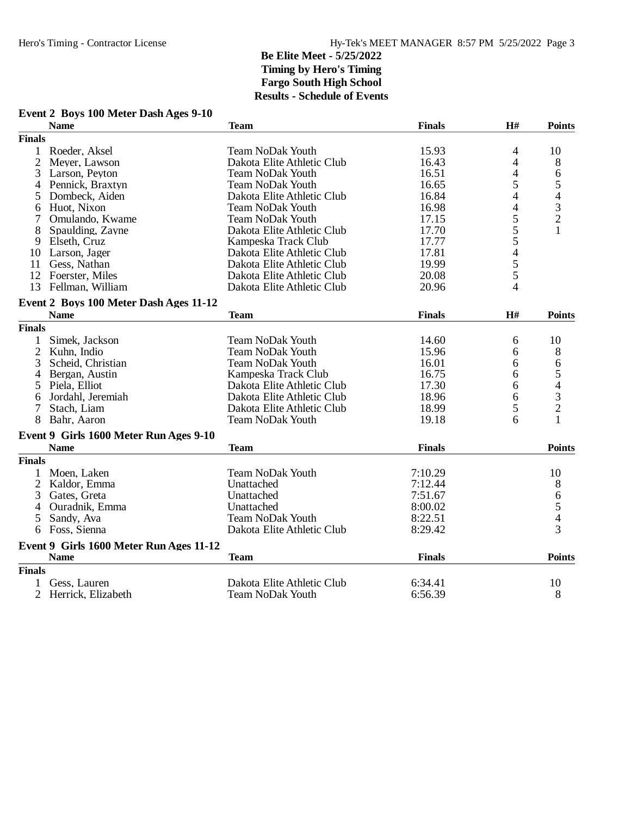# **Event 2 Boys 100 Meter Dash Ages 9-10**

|                | <b>Name</b>                                           | <b>Team</b>                | <b>Finals</b> | H#             | <b>Points</b>                              |
|----------------|-------------------------------------------------------|----------------------------|---------------|----------------|--------------------------------------------|
| <b>Finals</b>  |                                                       |                            |               |                |                                            |
| $\mathbf{1}$   | Roeder, Aksel                                         | <b>Team NoDak Youth</b>    | 15.93         | 4              | 10                                         |
| $\overline{2}$ | Meyer, Lawson                                         | Dakota Elite Athletic Club | 16.43         | 4              | 8                                          |
| 3              | Larson, Peyton                                        | Team NoDak Youth           | 16.51         | 4              | 6                                          |
| 4              | Pennick, Braxtyn                                      | <b>Team NoDak Youth</b>    | 16.65         | 5              | 5                                          |
| 5              | Dombeck, Aiden                                        | Dakota Elite Athletic Club | 16.84         | 4              | $\overline{\mathcal{L}}$                   |
| 6              | Huot, Nixon                                           | <b>Team NoDak Youth</b>    | 16.98         | 4              |                                            |
| 7              | Omulando, Kwame                                       | <b>Team NoDak Youth</b>    | 17.15         | 5              | $\begin{array}{c} 3 \\ 2 \\ 1 \end{array}$ |
| 8              | Spaulding, Zayne                                      | Dakota Elite Athletic Club | 17.70         | $\overline{5}$ |                                            |
| 9              | Elseth, Cruz                                          | Kampeska Track Club        | 17.77         |                |                                            |
| 10             | Larson, Jager                                         | Dakota Elite Athletic Club | 17.81         | 5455           |                                            |
| 11             | Gess, Nathan                                          | Dakota Elite Athletic Club | 19.99         |                |                                            |
|                | 12 Foerster, Miles                                    | Dakota Elite Athletic Club | 20.08         |                |                                            |
|                | 13 Fellman, William                                   | Dakota Elite Athletic Club | 20.96         | 4              |                                            |
|                | Event 2 Boys 100 Meter Dash Ages 11-12                |                            |               |                |                                            |
|                | <b>Name</b>                                           | <b>Team</b>                | <b>Finals</b> | H#             | <b>Points</b>                              |
| <b>Finals</b>  |                                                       |                            |               |                |                                            |
| 1              | Simek, Jackson                                        | <b>Team NoDak Youth</b>    | 14.60         | 6              | 10                                         |
| $\overline{2}$ | Kuhn, Indio                                           | <b>Team NoDak Youth</b>    | 15.96         | 6              | 8                                          |
| 3              | Scheid, Christian                                     | <b>Team NoDak Youth</b>    | 16.01         | 6              | 6                                          |
| 4              | Bergan, Austin                                        | Kampeska Track Club        | 16.75         | 6              | 5                                          |
| 5              | Piela, Elliot                                         | Dakota Elite Athletic Club | 17.30         | 6              | 4                                          |
| 6              | Jordahl, Jeremiah                                     | Dakota Elite Athletic Club | 18.96         | 6              | 3                                          |
| 7              | Stach, Liam                                           | Dakota Elite Athletic Club | 18.99         | 5              | $\overline{c}$                             |
| 8              | Bahr, Aaron                                           | <b>Team NoDak Youth</b>    | 19.18         | 6              | 1                                          |
|                |                                                       |                            |               |                |                                            |
|                | Event 9 Girls 1600 Meter Run Ages 9-10<br><b>Name</b> | <b>Team</b>                | <b>Finals</b> |                | <b>Points</b>                              |
| <b>Finals</b>  |                                                       |                            |               |                |                                            |
|                |                                                       |                            |               |                |                                            |
| 1              | Moen, Laken                                           | <b>Team NoDak Youth</b>    | 7:10.29       |                | 10                                         |
|                | 2 Kaldor, Emma                                        | Unattached                 | 7:12.44       |                | 8                                          |
| 3              | Gates, Greta                                          | Unattached                 | 7:51.67       |                | 6                                          |
| 4              | Ouradnik, Emma                                        | Unattached                 | 8:00.02       |                | 5                                          |
| 5              | Sandy, Ava                                            | <b>Team NoDak Youth</b>    | 8:22.51       |                | $\overline{4}$                             |
| 6              | Foss, Sienna                                          | Dakota Elite Athletic Club | 8:29.42       |                | 3                                          |
|                | Event 9 Girls 1600 Meter Run Ages 11-12               |                            |               |                |                                            |
|                | <b>Name</b>                                           | <b>Team</b>                | <b>Finals</b> |                | <b>Points</b>                              |
| <b>Finals</b>  |                                                       |                            |               |                |                                            |
| 1              | Gess, Lauren                                          | Dakota Elite Athletic Club | 6:34.41       |                | 10                                         |
|                | 2 Herrick, Elizabeth                                  | <b>Team NoDak Youth</b>    | 6:56.39       |                | 8                                          |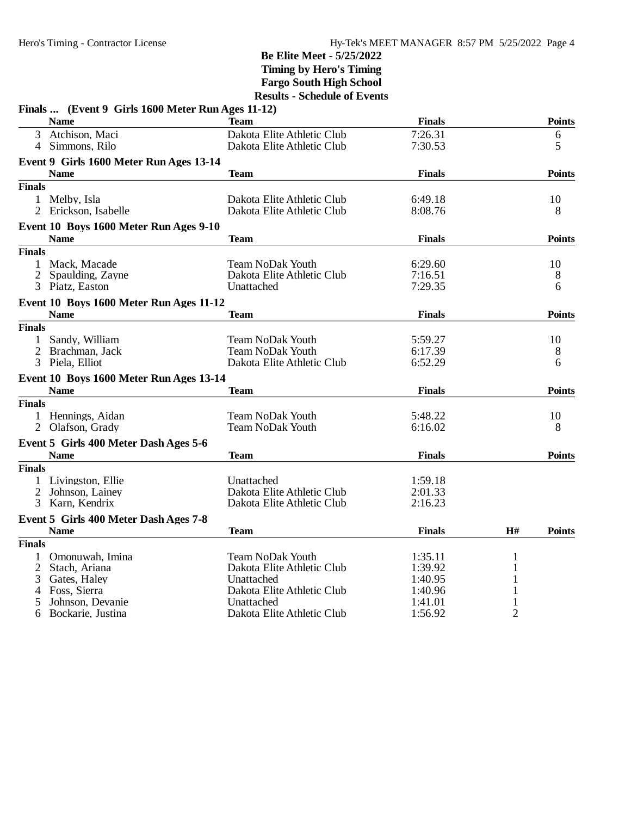|                | Finals  (Event 9 Girls 1600 Meter Run Ages 11-12) |                            |               |              |               |
|----------------|---------------------------------------------------|----------------------------|---------------|--------------|---------------|
|                | <b>Name</b>                                       | Team                       | <b>Finals</b> |              | <b>Points</b> |
| 3              | Atchison, Maci                                    | Dakota Elite Athletic Club | 7:26.31       |              | 6             |
|                | 4 Simmons, Rilo                                   | Dakota Elite Athletic Club | 7:30.53       |              | 5             |
|                | Event 9 Girls 1600 Meter Run Ages 13-14           |                            |               |              |               |
|                | <b>Name</b>                                       | Team                       | <b>Finals</b> |              | <b>Points</b> |
| <b>Finals</b>  |                                                   |                            |               |              |               |
|                | 1 Melby, Isla                                     | Dakota Elite Athletic Club | 6:49.18       |              | 10            |
|                | 2 Erickson, Isabelle                              | Dakota Elite Athletic Club | 8:08.76       |              | 8             |
|                | Event 10 Boys 1600 Meter Run Ages 9-10            |                            |               |              |               |
|                | <b>Name</b>                                       | <b>Team</b>                | <b>Finals</b> |              | <b>Points</b> |
| <b>Finals</b>  |                                                   |                            |               |              |               |
| 1              | Mack, Macade                                      | <b>Team NoDak Youth</b>    | 6:29.60       |              | 10            |
| $\overline{2}$ | Spaulding, Zayne                                  | Dakota Elite Athletic Club | 7:16.51       |              | 8             |
|                | 3 Piatz, Easton                                   | Unattached                 | 7:29.35       |              | 6             |
|                | Event 10 Boys 1600 Meter Run Ages 11-12           |                            |               |              |               |
|                | <b>Name</b>                                       | Team                       | <b>Finals</b> |              | <b>Points</b> |
| <b>Finals</b>  |                                                   |                            |               |              |               |
| 1              | Sandy, William                                    | <b>Team NoDak Youth</b>    | 5:59.27       |              | 10            |
| $\overline{2}$ | Brachman, Jack                                    | <b>Team NoDak Youth</b>    | 6:17.39       |              | 8             |
|                | 3 Piela, Elliot                                   | Dakota Elite Athletic Club | 6:52.29       |              | 6             |
|                | Event 10 Boys 1600 Meter Run Ages 13-14           |                            |               |              |               |
|                | <b>Name</b>                                       | Team                       | <b>Finals</b> |              | <b>Points</b> |
| <b>Finals</b>  |                                                   |                            |               |              |               |
|                | 1 Hennings, Aidan                                 | <b>Team NoDak Youth</b>    | 5:48.22       |              | 10            |
|                | 2 Olafson, Grady                                  | <b>Team NoDak Youth</b>    | 6:16.02       |              | 8             |
|                | Event 5 Girls 400 Meter Dash Ages 5-6             |                            |               |              |               |
|                | <b>Name</b>                                       | <b>Team</b>                | <b>Finals</b> |              | <b>Points</b> |
| <b>Finals</b>  |                                                   |                            |               |              |               |
|                | 1 Livingston, Ellie                               | Unattached                 | 1:59.18       |              |               |
| $\overline{2}$ | Johnson, Lainey                                   | Dakota Elite Athletic Club | 2:01.33       |              |               |
| 3              | Karn, Kendrix                                     | Dakota Elite Athletic Club | 2:16.23       |              |               |
|                | Event 5 Girls 400 Meter Dash Ages 7-8             |                            |               |              |               |
|                | <b>Name</b>                                       | <b>Team</b>                | <b>Finals</b> | H#           | <b>Points</b> |
| <b>Finals</b>  |                                                   |                            |               |              |               |
| 1              | Omonuwah, Imina                                   | <b>Team NoDak Youth</b>    | 1:35.11       | $\mathbf{1}$ |               |
| $\overline{2}$ | Stach, Ariana                                     | Dakota Elite Athletic Club | 1:39.92       | 1            |               |
| 3              | Gates, Haley                                      | Unattached                 | 1:40.95       | 1            |               |
| 4              | Foss, Sierra                                      | Dakota Elite Athletic Club | 1:40.96       |              |               |
| 5              | Johnson, Devanie                                  | Unattached                 | 1:41.01       |              |               |
| 6              | Bockarie, Justina                                 | Dakota Elite Athletic Club | 1:56.92       | 2            |               |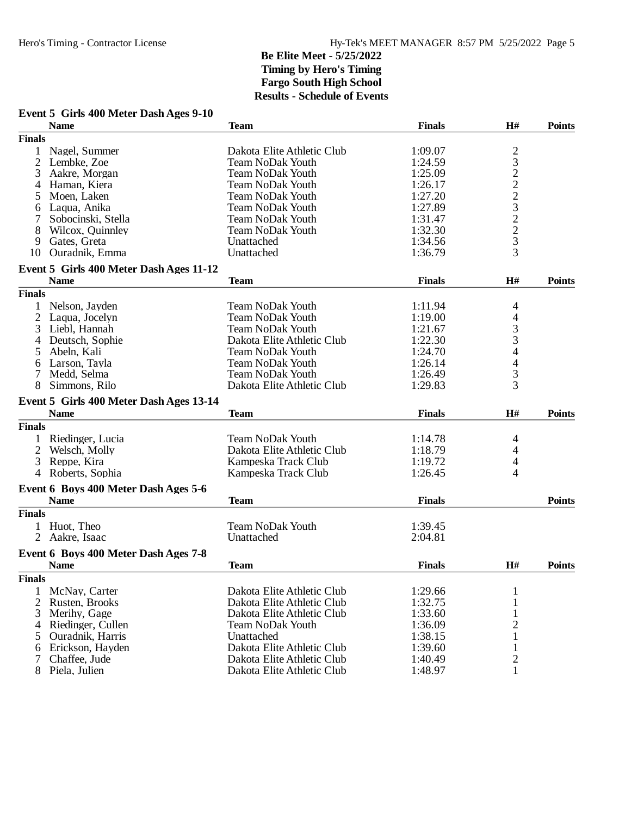### **Event 5 Girls 400 Meter Dash Ages 9-10**

| <b>Finals</b><br>2322232233<br>Nagel, Summer<br>Dakota Elite Athletic Club<br>1:09.07<br>1<br>2<br>Lembke, Zoe<br><b>Team NoDak Youth</b><br>1:24.59<br>3<br>Aakre, Morgan<br><b>Team NoDak Youth</b><br>1:25.09<br>Haman, Kiera<br><b>Team NoDak Youth</b><br>1:26.17<br>4<br>1:27.20<br>5<br>Moen, Laken<br><b>Team NoDak Youth</b><br>1:27.89<br>Laqua, Anika<br><b>Team NoDak Youth</b><br>6<br>1:31.47<br>Sobocinski, Stella<br><b>Team NoDak Youth</b><br>1:32.30<br>8<br>Wilcox, Quinnley<br><b>Team NoDak Youth</b><br>Gates, Greta<br>1:34.56<br>9<br>Unattached<br>Ouradnik, Emma<br>Unattached<br>1:36.79<br>10<br>Event 5 Girls 400 Meter Dash Ages 11-12<br><b>Name</b><br>H#<br><b>Team</b><br><b>Finals</b><br><b>Points</b><br><b>Finals</b><br>Nelson, Jayden<br><b>Team NoDak Youth</b><br>1:11.94<br>4<br>$\overline{c}$<br>$\overline{\mathcal{L}}$<br>Laqua, Jocelyn<br><b>Team NoDak Youth</b><br>1:19.00<br>$\frac{3}{3}$<br>3<br>Liebl, Hannah<br><b>Team NoDak Youth</b><br>1:21.67<br>Deutsch, Sophie<br>Dakota Elite Athletic Club<br>1:22.30<br>4<br>4<br>5<br>Abeln, Kali<br><b>Team NoDak Youth</b><br>1:24.70<br>$\overline{\mathcal{L}}$<br><b>Team NoDak Youth</b><br>Larson, Tayla<br>1:26.14<br>6<br>3<br>Medd, Selma<br><b>Team NoDak Youth</b><br>1:26.49<br>7<br>3<br>8<br>Simmons, Rilo<br>Dakota Elite Athletic Club<br>1:29.83<br>Event 5 Girls 400 Meter Dash Ages 13-14<br><b>Name</b><br><b>Finals</b><br>H#<br><b>Points</b><br><b>Team</b><br><b>Finals</b><br><b>Team NoDak Youth</b><br>Riedinger, Lucia<br>1:14.78<br>4<br>Dakota Elite Athletic Club<br>2<br>Welsch, Molly<br>1:18.79<br>4<br>Reppe, Kira<br>4<br>3<br>Kampeska Track Club<br>1:19.72<br>Roberts, Sophia<br>1:26.45<br>4<br>Kampeska Track Club<br>4<br>Event 6 Boys 400 Meter Dash Ages 5-6<br><b>Name</b><br><b>Team</b><br><b>Finals</b><br><b>Points</b><br><b>Finals</b><br>1 Huot, Theo<br><b>Team NoDak Youth</b><br>1:39.45<br>Aakre, Isaac<br>Unattached<br>2:04.81<br>Event 6 Boys 400 Meter Dash Ages 7-8<br><b>Name</b><br>H#<br><b>Team</b><br><b>Finals</b><br><b>Points</b><br><b>Finals</b><br>Dakota Elite Athletic Club<br>1:29.66<br>McNay, Carter<br>1<br>1:32.75<br>2<br>Rusten, Brooks<br>Dakota Elite Athletic Club<br>1<br>3<br>Merihy, Gage<br>Dakota Elite Athletic Club<br>1:33.60<br>1<br>2<br><b>Team NoDak Youth</b><br>1:36.09<br>Riedinger, Cullen<br>4<br>5<br>Ouradnik, Harris<br>Unattached<br>1:38.15<br>1<br>Dakota Elite Athletic Club<br>1:39.60<br>Erickson, Hayden<br>1<br>6<br>$\sqrt{2}$<br>1:40.49<br>7<br>Chaffee, Jude<br>Dakota Elite Athletic Club<br>8<br>Piela, Julien<br>Dakota Elite Athletic Club<br>1:48.97<br>1 | <b>Name</b> | <b>Team</b> | <b>Finals</b> | H# | <b>Points</b> |
|------------------------------------------------------------------------------------------------------------------------------------------------------------------------------------------------------------------------------------------------------------------------------------------------------------------------------------------------------------------------------------------------------------------------------------------------------------------------------------------------------------------------------------------------------------------------------------------------------------------------------------------------------------------------------------------------------------------------------------------------------------------------------------------------------------------------------------------------------------------------------------------------------------------------------------------------------------------------------------------------------------------------------------------------------------------------------------------------------------------------------------------------------------------------------------------------------------------------------------------------------------------------------------------------------------------------------------------------------------------------------------------------------------------------------------------------------------------------------------------------------------------------------------------------------------------------------------------------------------------------------------------------------------------------------------------------------------------------------------------------------------------------------------------------------------------------------------------------------------------------------------------------------------------------------------------------------------------------------------------------------------------------------------------------------------------------------------------------------------------------------------------------------------------------------------------------------------------------------------------------------------------------------------------------------------------------------------------------------------------------------------------------------------------------------------------------------------------------------------------------------------------------------------------------------------------------------------------------------------------------------------------------------------------------------------------|-------------|-------------|---------------|----|---------------|
|                                                                                                                                                                                                                                                                                                                                                                                                                                                                                                                                                                                                                                                                                                                                                                                                                                                                                                                                                                                                                                                                                                                                                                                                                                                                                                                                                                                                                                                                                                                                                                                                                                                                                                                                                                                                                                                                                                                                                                                                                                                                                                                                                                                                                                                                                                                                                                                                                                                                                                                                                                                                                                                                                          |             |             |               |    |               |
|                                                                                                                                                                                                                                                                                                                                                                                                                                                                                                                                                                                                                                                                                                                                                                                                                                                                                                                                                                                                                                                                                                                                                                                                                                                                                                                                                                                                                                                                                                                                                                                                                                                                                                                                                                                                                                                                                                                                                                                                                                                                                                                                                                                                                                                                                                                                                                                                                                                                                                                                                                                                                                                                                          |             |             |               |    |               |
|                                                                                                                                                                                                                                                                                                                                                                                                                                                                                                                                                                                                                                                                                                                                                                                                                                                                                                                                                                                                                                                                                                                                                                                                                                                                                                                                                                                                                                                                                                                                                                                                                                                                                                                                                                                                                                                                                                                                                                                                                                                                                                                                                                                                                                                                                                                                                                                                                                                                                                                                                                                                                                                                                          |             |             |               |    |               |
|                                                                                                                                                                                                                                                                                                                                                                                                                                                                                                                                                                                                                                                                                                                                                                                                                                                                                                                                                                                                                                                                                                                                                                                                                                                                                                                                                                                                                                                                                                                                                                                                                                                                                                                                                                                                                                                                                                                                                                                                                                                                                                                                                                                                                                                                                                                                                                                                                                                                                                                                                                                                                                                                                          |             |             |               |    |               |
|                                                                                                                                                                                                                                                                                                                                                                                                                                                                                                                                                                                                                                                                                                                                                                                                                                                                                                                                                                                                                                                                                                                                                                                                                                                                                                                                                                                                                                                                                                                                                                                                                                                                                                                                                                                                                                                                                                                                                                                                                                                                                                                                                                                                                                                                                                                                                                                                                                                                                                                                                                                                                                                                                          |             |             |               |    |               |
|                                                                                                                                                                                                                                                                                                                                                                                                                                                                                                                                                                                                                                                                                                                                                                                                                                                                                                                                                                                                                                                                                                                                                                                                                                                                                                                                                                                                                                                                                                                                                                                                                                                                                                                                                                                                                                                                                                                                                                                                                                                                                                                                                                                                                                                                                                                                                                                                                                                                                                                                                                                                                                                                                          |             |             |               |    |               |
|                                                                                                                                                                                                                                                                                                                                                                                                                                                                                                                                                                                                                                                                                                                                                                                                                                                                                                                                                                                                                                                                                                                                                                                                                                                                                                                                                                                                                                                                                                                                                                                                                                                                                                                                                                                                                                                                                                                                                                                                                                                                                                                                                                                                                                                                                                                                                                                                                                                                                                                                                                                                                                                                                          |             |             |               |    |               |
|                                                                                                                                                                                                                                                                                                                                                                                                                                                                                                                                                                                                                                                                                                                                                                                                                                                                                                                                                                                                                                                                                                                                                                                                                                                                                                                                                                                                                                                                                                                                                                                                                                                                                                                                                                                                                                                                                                                                                                                                                                                                                                                                                                                                                                                                                                                                                                                                                                                                                                                                                                                                                                                                                          |             |             |               |    |               |
|                                                                                                                                                                                                                                                                                                                                                                                                                                                                                                                                                                                                                                                                                                                                                                                                                                                                                                                                                                                                                                                                                                                                                                                                                                                                                                                                                                                                                                                                                                                                                                                                                                                                                                                                                                                                                                                                                                                                                                                                                                                                                                                                                                                                                                                                                                                                                                                                                                                                                                                                                                                                                                                                                          |             |             |               |    |               |
|                                                                                                                                                                                                                                                                                                                                                                                                                                                                                                                                                                                                                                                                                                                                                                                                                                                                                                                                                                                                                                                                                                                                                                                                                                                                                                                                                                                                                                                                                                                                                                                                                                                                                                                                                                                                                                                                                                                                                                                                                                                                                                                                                                                                                                                                                                                                                                                                                                                                                                                                                                                                                                                                                          |             |             |               |    |               |
|                                                                                                                                                                                                                                                                                                                                                                                                                                                                                                                                                                                                                                                                                                                                                                                                                                                                                                                                                                                                                                                                                                                                                                                                                                                                                                                                                                                                                                                                                                                                                                                                                                                                                                                                                                                                                                                                                                                                                                                                                                                                                                                                                                                                                                                                                                                                                                                                                                                                                                                                                                                                                                                                                          |             |             |               |    |               |
|                                                                                                                                                                                                                                                                                                                                                                                                                                                                                                                                                                                                                                                                                                                                                                                                                                                                                                                                                                                                                                                                                                                                                                                                                                                                                                                                                                                                                                                                                                                                                                                                                                                                                                                                                                                                                                                                                                                                                                                                                                                                                                                                                                                                                                                                                                                                                                                                                                                                                                                                                                                                                                                                                          |             |             |               |    |               |
|                                                                                                                                                                                                                                                                                                                                                                                                                                                                                                                                                                                                                                                                                                                                                                                                                                                                                                                                                                                                                                                                                                                                                                                                                                                                                                                                                                                                                                                                                                                                                                                                                                                                                                                                                                                                                                                                                                                                                                                                                                                                                                                                                                                                                                                                                                                                                                                                                                                                                                                                                                                                                                                                                          |             |             |               |    |               |
|                                                                                                                                                                                                                                                                                                                                                                                                                                                                                                                                                                                                                                                                                                                                                                                                                                                                                                                                                                                                                                                                                                                                                                                                                                                                                                                                                                                                                                                                                                                                                                                                                                                                                                                                                                                                                                                                                                                                                                                                                                                                                                                                                                                                                                                                                                                                                                                                                                                                                                                                                                                                                                                                                          |             |             |               |    |               |
|                                                                                                                                                                                                                                                                                                                                                                                                                                                                                                                                                                                                                                                                                                                                                                                                                                                                                                                                                                                                                                                                                                                                                                                                                                                                                                                                                                                                                                                                                                                                                                                                                                                                                                                                                                                                                                                                                                                                                                                                                                                                                                                                                                                                                                                                                                                                                                                                                                                                                                                                                                                                                                                                                          |             |             |               |    |               |
|                                                                                                                                                                                                                                                                                                                                                                                                                                                                                                                                                                                                                                                                                                                                                                                                                                                                                                                                                                                                                                                                                                                                                                                                                                                                                                                                                                                                                                                                                                                                                                                                                                                                                                                                                                                                                                                                                                                                                                                                                                                                                                                                                                                                                                                                                                                                                                                                                                                                                                                                                                                                                                                                                          |             |             |               |    |               |
|                                                                                                                                                                                                                                                                                                                                                                                                                                                                                                                                                                                                                                                                                                                                                                                                                                                                                                                                                                                                                                                                                                                                                                                                                                                                                                                                                                                                                                                                                                                                                                                                                                                                                                                                                                                                                                                                                                                                                                                                                                                                                                                                                                                                                                                                                                                                                                                                                                                                                                                                                                                                                                                                                          |             |             |               |    |               |
|                                                                                                                                                                                                                                                                                                                                                                                                                                                                                                                                                                                                                                                                                                                                                                                                                                                                                                                                                                                                                                                                                                                                                                                                                                                                                                                                                                                                                                                                                                                                                                                                                                                                                                                                                                                                                                                                                                                                                                                                                                                                                                                                                                                                                                                                                                                                                                                                                                                                                                                                                                                                                                                                                          |             |             |               |    |               |
|                                                                                                                                                                                                                                                                                                                                                                                                                                                                                                                                                                                                                                                                                                                                                                                                                                                                                                                                                                                                                                                                                                                                                                                                                                                                                                                                                                                                                                                                                                                                                                                                                                                                                                                                                                                                                                                                                                                                                                                                                                                                                                                                                                                                                                                                                                                                                                                                                                                                                                                                                                                                                                                                                          |             |             |               |    |               |
|                                                                                                                                                                                                                                                                                                                                                                                                                                                                                                                                                                                                                                                                                                                                                                                                                                                                                                                                                                                                                                                                                                                                                                                                                                                                                                                                                                                                                                                                                                                                                                                                                                                                                                                                                                                                                                                                                                                                                                                                                                                                                                                                                                                                                                                                                                                                                                                                                                                                                                                                                                                                                                                                                          |             |             |               |    |               |
|                                                                                                                                                                                                                                                                                                                                                                                                                                                                                                                                                                                                                                                                                                                                                                                                                                                                                                                                                                                                                                                                                                                                                                                                                                                                                                                                                                                                                                                                                                                                                                                                                                                                                                                                                                                                                                                                                                                                                                                                                                                                                                                                                                                                                                                                                                                                                                                                                                                                                                                                                                                                                                                                                          |             |             |               |    |               |
|                                                                                                                                                                                                                                                                                                                                                                                                                                                                                                                                                                                                                                                                                                                                                                                                                                                                                                                                                                                                                                                                                                                                                                                                                                                                                                                                                                                                                                                                                                                                                                                                                                                                                                                                                                                                                                                                                                                                                                                                                                                                                                                                                                                                                                                                                                                                                                                                                                                                                                                                                                                                                                                                                          |             |             |               |    |               |
|                                                                                                                                                                                                                                                                                                                                                                                                                                                                                                                                                                                                                                                                                                                                                                                                                                                                                                                                                                                                                                                                                                                                                                                                                                                                                                                                                                                                                                                                                                                                                                                                                                                                                                                                                                                                                                                                                                                                                                                                                                                                                                                                                                                                                                                                                                                                                                                                                                                                                                                                                                                                                                                                                          |             |             |               |    |               |
|                                                                                                                                                                                                                                                                                                                                                                                                                                                                                                                                                                                                                                                                                                                                                                                                                                                                                                                                                                                                                                                                                                                                                                                                                                                                                                                                                                                                                                                                                                                                                                                                                                                                                                                                                                                                                                                                                                                                                                                                                                                                                                                                                                                                                                                                                                                                                                                                                                                                                                                                                                                                                                                                                          |             |             |               |    |               |
|                                                                                                                                                                                                                                                                                                                                                                                                                                                                                                                                                                                                                                                                                                                                                                                                                                                                                                                                                                                                                                                                                                                                                                                                                                                                                                                                                                                                                                                                                                                                                                                                                                                                                                                                                                                                                                                                                                                                                                                                                                                                                                                                                                                                                                                                                                                                                                                                                                                                                                                                                                                                                                                                                          |             |             |               |    |               |
|                                                                                                                                                                                                                                                                                                                                                                                                                                                                                                                                                                                                                                                                                                                                                                                                                                                                                                                                                                                                                                                                                                                                                                                                                                                                                                                                                                                                                                                                                                                                                                                                                                                                                                                                                                                                                                                                                                                                                                                                                                                                                                                                                                                                                                                                                                                                                                                                                                                                                                                                                                                                                                                                                          |             |             |               |    |               |
|                                                                                                                                                                                                                                                                                                                                                                                                                                                                                                                                                                                                                                                                                                                                                                                                                                                                                                                                                                                                                                                                                                                                                                                                                                                                                                                                                                                                                                                                                                                                                                                                                                                                                                                                                                                                                                                                                                                                                                                                                                                                                                                                                                                                                                                                                                                                                                                                                                                                                                                                                                                                                                                                                          |             |             |               |    |               |
|                                                                                                                                                                                                                                                                                                                                                                                                                                                                                                                                                                                                                                                                                                                                                                                                                                                                                                                                                                                                                                                                                                                                                                                                                                                                                                                                                                                                                                                                                                                                                                                                                                                                                                                                                                                                                                                                                                                                                                                                                                                                                                                                                                                                                                                                                                                                                                                                                                                                                                                                                                                                                                                                                          |             |             |               |    |               |
|                                                                                                                                                                                                                                                                                                                                                                                                                                                                                                                                                                                                                                                                                                                                                                                                                                                                                                                                                                                                                                                                                                                                                                                                                                                                                                                                                                                                                                                                                                                                                                                                                                                                                                                                                                                                                                                                                                                                                                                                                                                                                                                                                                                                                                                                                                                                                                                                                                                                                                                                                                                                                                                                                          |             |             |               |    |               |
|                                                                                                                                                                                                                                                                                                                                                                                                                                                                                                                                                                                                                                                                                                                                                                                                                                                                                                                                                                                                                                                                                                                                                                                                                                                                                                                                                                                                                                                                                                                                                                                                                                                                                                                                                                                                                                                                                                                                                                                                                                                                                                                                                                                                                                                                                                                                                                                                                                                                                                                                                                                                                                                                                          |             |             |               |    |               |
|                                                                                                                                                                                                                                                                                                                                                                                                                                                                                                                                                                                                                                                                                                                                                                                                                                                                                                                                                                                                                                                                                                                                                                                                                                                                                                                                                                                                                                                                                                                                                                                                                                                                                                                                                                                                                                                                                                                                                                                                                                                                                                                                                                                                                                                                                                                                                                                                                                                                                                                                                                                                                                                                                          |             |             |               |    |               |
|                                                                                                                                                                                                                                                                                                                                                                                                                                                                                                                                                                                                                                                                                                                                                                                                                                                                                                                                                                                                                                                                                                                                                                                                                                                                                                                                                                                                                                                                                                                                                                                                                                                                                                                                                                                                                                                                                                                                                                                                                                                                                                                                                                                                                                                                                                                                                                                                                                                                                                                                                                                                                                                                                          |             |             |               |    |               |
|                                                                                                                                                                                                                                                                                                                                                                                                                                                                                                                                                                                                                                                                                                                                                                                                                                                                                                                                                                                                                                                                                                                                                                                                                                                                                                                                                                                                                                                                                                                                                                                                                                                                                                                                                                                                                                                                                                                                                                                                                                                                                                                                                                                                                                                                                                                                                                                                                                                                                                                                                                                                                                                                                          |             |             |               |    |               |
|                                                                                                                                                                                                                                                                                                                                                                                                                                                                                                                                                                                                                                                                                                                                                                                                                                                                                                                                                                                                                                                                                                                                                                                                                                                                                                                                                                                                                                                                                                                                                                                                                                                                                                                                                                                                                                                                                                                                                                                                                                                                                                                                                                                                                                                                                                                                                                                                                                                                                                                                                                                                                                                                                          |             |             |               |    |               |
|                                                                                                                                                                                                                                                                                                                                                                                                                                                                                                                                                                                                                                                                                                                                                                                                                                                                                                                                                                                                                                                                                                                                                                                                                                                                                                                                                                                                                                                                                                                                                                                                                                                                                                                                                                                                                                                                                                                                                                                                                                                                                                                                                                                                                                                                                                                                                                                                                                                                                                                                                                                                                                                                                          |             |             |               |    |               |
|                                                                                                                                                                                                                                                                                                                                                                                                                                                                                                                                                                                                                                                                                                                                                                                                                                                                                                                                                                                                                                                                                                                                                                                                                                                                                                                                                                                                                                                                                                                                                                                                                                                                                                                                                                                                                                                                                                                                                                                                                                                                                                                                                                                                                                                                                                                                                                                                                                                                                                                                                                                                                                                                                          |             |             |               |    |               |
|                                                                                                                                                                                                                                                                                                                                                                                                                                                                                                                                                                                                                                                                                                                                                                                                                                                                                                                                                                                                                                                                                                                                                                                                                                                                                                                                                                                                                                                                                                                                                                                                                                                                                                                                                                                                                                                                                                                                                                                                                                                                                                                                                                                                                                                                                                                                                                                                                                                                                                                                                                                                                                                                                          |             |             |               |    |               |
|                                                                                                                                                                                                                                                                                                                                                                                                                                                                                                                                                                                                                                                                                                                                                                                                                                                                                                                                                                                                                                                                                                                                                                                                                                                                                                                                                                                                                                                                                                                                                                                                                                                                                                                                                                                                                                                                                                                                                                                                                                                                                                                                                                                                                                                                                                                                                                                                                                                                                                                                                                                                                                                                                          |             |             |               |    |               |
|                                                                                                                                                                                                                                                                                                                                                                                                                                                                                                                                                                                                                                                                                                                                                                                                                                                                                                                                                                                                                                                                                                                                                                                                                                                                                                                                                                                                                                                                                                                                                                                                                                                                                                                                                                                                                                                                                                                                                                                                                                                                                                                                                                                                                                                                                                                                                                                                                                                                                                                                                                                                                                                                                          |             |             |               |    |               |
|                                                                                                                                                                                                                                                                                                                                                                                                                                                                                                                                                                                                                                                                                                                                                                                                                                                                                                                                                                                                                                                                                                                                                                                                                                                                                                                                                                                                                                                                                                                                                                                                                                                                                                                                                                                                                                                                                                                                                                                                                                                                                                                                                                                                                                                                                                                                                                                                                                                                                                                                                                                                                                                                                          |             |             |               |    |               |
|                                                                                                                                                                                                                                                                                                                                                                                                                                                                                                                                                                                                                                                                                                                                                                                                                                                                                                                                                                                                                                                                                                                                                                                                                                                                                                                                                                                                                                                                                                                                                                                                                                                                                                                                                                                                                                                                                                                                                                                                                                                                                                                                                                                                                                                                                                                                                                                                                                                                                                                                                                                                                                                                                          |             |             |               |    |               |
|                                                                                                                                                                                                                                                                                                                                                                                                                                                                                                                                                                                                                                                                                                                                                                                                                                                                                                                                                                                                                                                                                                                                                                                                                                                                                                                                                                                                                                                                                                                                                                                                                                                                                                                                                                                                                                                                                                                                                                                                                                                                                                                                                                                                                                                                                                                                                                                                                                                                                                                                                                                                                                                                                          |             |             |               |    |               |
|                                                                                                                                                                                                                                                                                                                                                                                                                                                                                                                                                                                                                                                                                                                                                                                                                                                                                                                                                                                                                                                                                                                                                                                                                                                                                                                                                                                                                                                                                                                                                                                                                                                                                                                                                                                                                                                                                                                                                                                                                                                                                                                                                                                                                                                                                                                                                                                                                                                                                                                                                                                                                                                                                          |             |             |               |    |               |
|                                                                                                                                                                                                                                                                                                                                                                                                                                                                                                                                                                                                                                                                                                                                                                                                                                                                                                                                                                                                                                                                                                                                                                                                                                                                                                                                                                                                                                                                                                                                                                                                                                                                                                                                                                                                                                                                                                                                                                                                                                                                                                                                                                                                                                                                                                                                                                                                                                                                                                                                                                                                                                                                                          |             |             |               |    |               |
|                                                                                                                                                                                                                                                                                                                                                                                                                                                                                                                                                                                                                                                                                                                                                                                                                                                                                                                                                                                                                                                                                                                                                                                                                                                                                                                                                                                                                                                                                                                                                                                                                                                                                                                                                                                                                                                                                                                                                                                                                                                                                                                                                                                                                                                                                                                                                                                                                                                                                                                                                                                                                                                                                          |             |             |               |    |               |
|                                                                                                                                                                                                                                                                                                                                                                                                                                                                                                                                                                                                                                                                                                                                                                                                                                                                                                                                                                                                                                                                                                                                                                                                                                                                                                                                                                                                                                                                                                                                                                                                                                                                                                                                                                                                                                                                                                                                                                                                                                                                                                                                                                                                                                                                                                                                                                                                                                                                                                                                                                                                                                                                                          |             |             |               |    |               |
|                                                                                                                                                                                                                                                                                                                                                                                                                                                                                                                                                                                                                                                                                                                                                                                                                                                                                                                                                                                                                                                                                                                                                                                                                                                                                                                                                                                                                                                                                                                                                                                                                                                                                                                                                                                                                                                                                                                                                                                                                                                                                                                                                                                                                                                                                                                                                                                                                                                                                                                                                                                                                                                                                          |             |             |               |    |               |
|                                                                                                                                                                                                                                                                                                                                                                                                                                                                                                                                                                                                                                                                                                                                                                                                                                                                                                                                                                                                                                                                                                                                                                                                                                                                                                                                                                                                                                                                                                                                                                                                                                                                                                                                                                                                                                                                                                                                                                                                                                                                                                                                                                                                                                                                                                                                                                                                                                                                                                                                                                                                                                                                                          |             |             |               |    |               |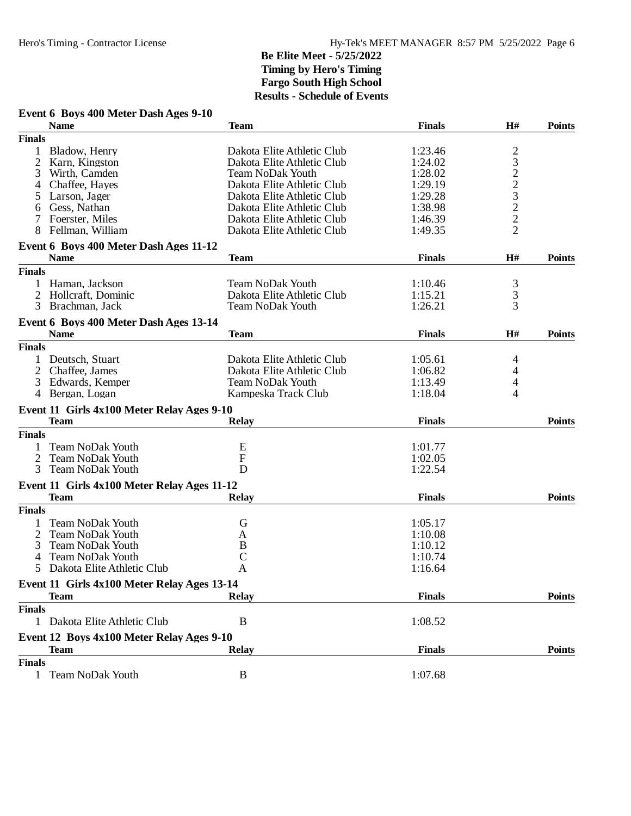# **Event 6 Boys 400 Meter Dash Ages 9-10**

|                | <b>Name</b>                                 | <b>Team</b>                | <b>Finals</b> | H#            | <b>Points</b> |
|----------------|---------------------------------------------|----------------------------|---------------|---------------|---------------|
| <b>Finals</b>  |                                             |                            |               |               |               |
|                | Bladow, Henry                               | Dakota Elite Athletic Club | 1:23.46       |               |               |
| $\overline{2}$ | Karn, Kingston                              | Dakota Elite Athletic Club | 1:24.02       | 23223222      |               |
| 3              | Wirth, Camden                               | <b>Team NoDak Youth</b>    | 1:28.02       |               |               |
| 4              | Chaffee, Hayes                              | Dakota Elite Athletic Club | 1:29.19       |               |               |
|                |                                             | Dakota Elite Athletic Club | 1:29.28       |               |               |
| 5              | Larson, Jager                               | Dakota Elite Athletic Club |               |               |               |
| 6              | Gess, Nathan                                |                            | 1:38.98       |               |               |
|                | Foerster, Miles                             | Dakota Elite Athletic Club | 1:46.39       |               |               |
| 8              | Fellman, William                            | Dakota Elite Athletic Club | 1:49.35       |               |               |
|                | Event 6 Boys 400 Meter Dash Ages 11-12      |                            |               |               |               |
|                | <b>Name</b>                                 | <b>Team</b>                | <b>Finals</b> | H#            | <b>Points</b> |
| <b>Finals</b>  |                                             |                            |               |               |               |
|                | Haman, Jackson                              | <b>Team NoDak Youth</b>    | 1:10.46       |               |               |
| 2              | Hollcraft, Dominic                          | Dakota Elite Athletic Club | 1:15.21       | $\frac{3}{3}$ |               |
| 3              | Brachman, Jack                              | <b>Team NoDak Youth</b>    | 1:26.21       | 3             |               |
|                |                                             |                            |               |               |               |
|                | Event 6 Boys 400 Meter Dash Ages 13-14      |                            |               |               |               |
|                | <b>Name</b>                                 | <b>Team</b>                | <b>Finals</b> | H#            | <b>Points</b> |
| <b>Finals</b>  |                                             |                            |               |               |               |
| 1              | Deutsch, Stuart                             | Dakota Elite Athletic Club | 1:05.61       | 4             |               |
| $\overline{2}$ | Chaffee, James                              | Dakota Elite Athletic Club | 1:06.82       | 4             |               |
| 3              | Edwards, Kemper                             | <b>Team NoDak Youth</b>    | 1:13.49       | 4             |               |
| 4              | Bergan, Logan                               | Kampeska Track Club        | 1:18.04       | 4             |               |
|                | Event 11 Girls 4x100 Meter Relay Ages 9-10  |                            |               |               |               |
|                | <b>Team</b>                                 | <b>Relay</b>               | <b>Finals</b> |               | <b>Points</b> |
| <b>Finals</b>  |                                             |                            |               |               |               |
| 1              | <b>Team NoDak Youth</b>                     | E                          | 1:01.77       |               |               |
|                |                                             |                            |               |               |               |
| 2              | <b>Team NoDak Youth</b>                     | $\mathbf F$                | 1:02.05       |               |               |
| 3              | <b>Team NoDak Youth</b>                     | D                          | 1:22.54       |               |               |
|                | Event 11 Girls 4x100 Meter Relay Ages 11-12 |                            |               |               |               |
|                | <b>Team</b>                                 | Relay                      | <b>Finals</b> |               | <b>Points</b> |
| <b>Finals</b>  |                                             |                            |               |               |               |
|                | <b>Team NoDak Youth</b>                     | G                          | 1:05.17       |               |               |
| 2              | <b>Team NoDak Youth</b>                     | A                          | 1:10.08       |               |               |
| 3              | <b>Team NoDak Youth</b>                     | B                          | 1:10.12       |               |               |
| 4              | <b>Team NoDak Youth</b>                     | C                          | 1:10.74       |               |               |
| 5              | Dakota Elite Athletic Club                  | A                          | 1:16.64       |               |               |
|                |                                             |                            |               |               |               |
|                | Event 11 Girls 4x100 Meter Relay Ages 13-14 |                            |               |               |               |
|                | <b>Team</b>                                 | Relay                      | <b>Finals</b> |               | <b>Points</b> |
| <b>Finals</b>  |                                             |                            |               |               |               |
|                | 1 Dakota Elite Athletic Club                | B                          | 1:08.52       |               |               |
|                | Event 12 Boys 4x100 Meter Relay Ages 9-10   |                            |               |               |               |
|                | <b>Team</b>                                 | <b>Relay</b>               | <b>Finals</b> |               | <b>Points</b> |
| <b>Finals</b>  |                                             |                            |               |               |               |
|                | 1 Team NoDak Youth                          | B                          | 1:07.68       |               |               |
|                |                                             |                            |               |               |               |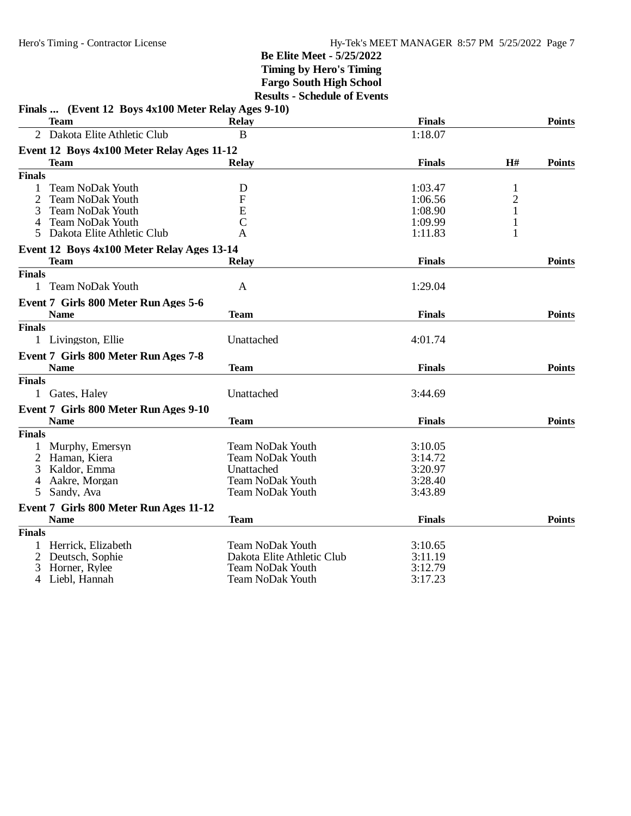|                | Finals  (Event 12 Boys 4x100 Meter Relay Ages 9-10) |                            |               |              |               |
|----------------|-----------------------------------------------------|----------------------------|---------------|--------------|---------------|
|                | <b>Team</b>                                         | <b>Relay</b>               | <b>Finals</b> |              | <b>Points</b> |
| $\overline{2}$ | Dakota Elite Athletic Club                          | B                          | 1:18.07       |              |               |
|                | Event 12 Boys 4x100 Meter Relay Ages 11-12          |                            |               |              |               |
|                | Team                                                | <b>Relay</b>               | <b>Finals</b> | H#           | <b>Points</b> |
| <b>Finals</b>  |                                                     |                            |               |              |               |
|                | <b>Team NoDak Youth</b>                             | D                          | 1:03.47       | 1            |               |
|                | <b>Team NoDak Youth</b>                             | F                          | 1:06.56       | $\sqrt{2}$   |               |
| 3              | <b>Team NoDak Youth</b>                             | E                          | 1:08.90       | $\mathbf{1}$ |               |
| 4              | <b>Team NoDak Youth</b>                             | $\mathbf C$                | 1:09.99       | 1            |               |
| 5              | Dakota Elite Athletic Club                          | A                          | 1:11.83       | 1            |               |
|                | Event 12 Boys 4x100 Meter Relay Ages 13-14          |                            |               |              |               |
|                | <b>Team</b>                                         | <b>Relay</b>               | <b>Finals</b> |              | <b>Points</b> |
| <b>Finals</b>  |                                                     |                            |               |              |               |
| 1              | <b>Team NoDak Youth</b>                             | A                          | 1:29.04       |              |               |
|                | Event 7 Girls 800 Meter Run Ages 5-6                |                            |               |              |               |
|                | <b>Name</b>                                         | <b>Team</b>                | <b>Finals</b> |              | <b>Points</b> |
| <b>Finals</b>  |                                                     |                            |               |              |               |
|                | 1 Livingston, Ellie                                 | Unattached                 | 4:01.74       |              |               |
|                | Event 7 Girls 800 Meter Run Ages 7-8                |                            |               |              |               |
|                | <b>Name</b>                                         | <b>Team</b>                | <b>Finals</b> |              | <b>Points</b> |
| <b>Finals</b>  |                                                     |                            |               |              |               |
|                | 1 Gates, Haley                                      | Unattached                 | 3:44.69       |              |               |
|                | Event 7 Girls 800 Meter Run Ages 9-10               |                            |               |              |               |
|                | <b>Name</b>                                         | Team                       | <b>Finals</b> |              | <b>Points</b> |
| <b>Finals</b>  |                                                     |                            |               |              |               |
|                | Murphy, Emersyn                                     | <b>Team NoDak Youth</b>    | 3:10.05       |              |               |
|                | Haman, Kiera                                        | <b>Team NoDak Youth</b>    | 3:14.72       |              |               |
| 3              | Kaldor, Emma                                        | Unattached                 | 3:20.97       |              |               |
| 4              | Aakre, Morgan                                       | <b>Team NoDak Youth</b>    | 3:28.40       |              |               |
| 5              | Sandy, Ava                                          | <b>Team NoDak Youth</b>    | 3:43.89       |              |               |
|                | Event 7 Girls 800 Meter Run Ages 11-12              |                            |               |              |               |
|                | <b>Name</b>                                         | Team                       | <b>Finals</b> |              | <b>Points</b> |
| <b>Finals</b>  |                                                     |                            |               |              |               |
|                | Herrick, Elizabeth                                  | <b>Team NoDak Youth</b>    | 3:10.65       |              |               |
| 2              | Deutsch, Sophie                                     | Dakota Elite Athletic Club | 3:11.19       |              |               |
| 3              | Horner, Rylee                                       | <b>Team NoDak Youth</b>    | 3:12.79       |              |               |
| 4              | Liebl, Hannah                                       | <b>Team NoDak Youth</b>    | 3:17.23       |              |               |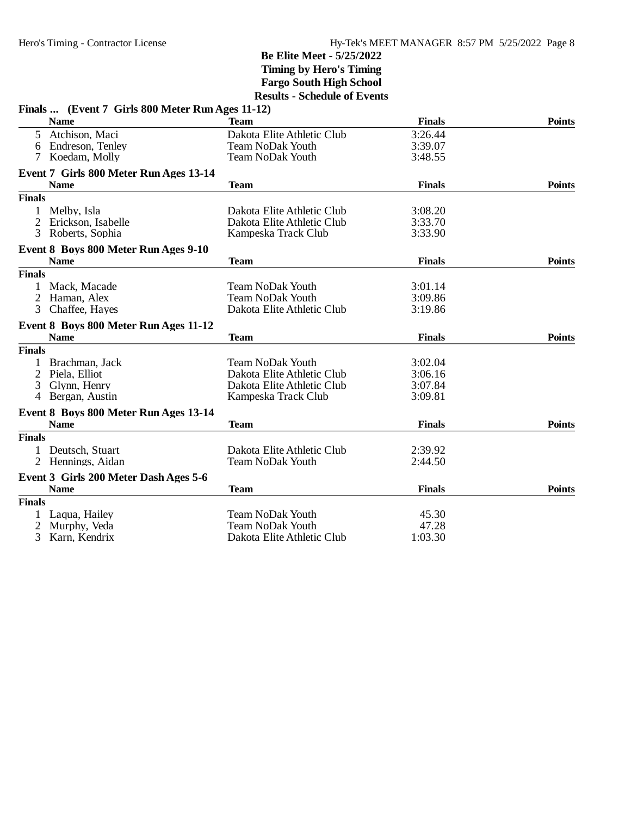|                | Finals  (Event 7 Girls 800 Meter Run Ages 11-12) |                            |               |               |
|----------------|--------------------------------------------------|----------------------------|---------------|---------------|
|                | <b>Name</b>                                      | <b>Team</b>                | <b>Finals</b> | <b>Points</b> |
| 5              | Atchison, Maci                                   | Dakota Elite Athletic Club | 3:26.44       |               |
| 6              | Endreson, Tenley                                 | <b>Team NoDak Youth</b>    | 3:39.07       |               |
|                | Koedam, Molly                                    | <b>Team NoDak Youth</b>    | 3:48.55       |               |
|                | Event 7 Girls 800 Meter Run Ages 13-14           |                            |               |               |
|                | <b>Name</b>                                      | <b>Team</b>                | <b>Finals</b> | <b>Points</b> |
| <b>Finals</b>  |                                                  |                            |               |               |
|                | Melby, Isla                                      | Dakota Elite Athletic Club | 3:08.20       |               |
| 2              | Erickson, Isabelle                               | Dakota Elite Athletic Club | 3:33.70       |               |
| 3              | Roberts, Sophia                                  | Kampeska Track Club        | 3:33.90       |               |
|                | Event 8 Boys 800 Meter Run Ages 9-10             |                            |               |               |
|                | <b>Name</b>                                      | <b>Team</b>                | <b>Finals</b> | <b>Points</b> |
| <b>Finals</b>  |                                                  |                            |               |               |
|                | 1 Mack, Macade                                   | <b>Team NoDak Youth</b>    | 3:01.14       |               |
| 2              | Haman, Alex                                      | Team NoDak Youth           | 3:09.86       |               |
| 3              | Chaffee, Hayes                                   | Dakota Elite Athletic Club | 3:19.86       |               |
|                | Event 8 Boys 800 Meter Run Ages 11-12            |                            |               |               |
|                | <b>Name</b>                                      | <b>Team</b>                | <b>Finals</b> | <b>Points</b> |
| <b>Finals</b>  |                                                  |                            |               |               |
|                | Brachman, Jack                                   | <b>Team NoDak Youth</b>    | 3:02.04       |               |
| $\overline{2}$ | Piela, Elliot                                    | Dakota Elite Athletic Club | 3:06.16       |               |
| 3              | Glynn, Henry                                     | Dakota Elite Athletic Club | 3:07.84       |               |
| 4              | Bergan, Austin                                   | Kampeska Track Club        | 3:09.81       |               |
|                | Event 8 Boys 800 Meter Run Ages 13-14            |                            |               |               |
|                | <b>Name</b>                                      | <b>Team</b>                | <b>Finals</b> | <b>Points</b> |
| <b>Finals</b>  |                                                  |                            |               |               |
|                | 1 Deutsch, Stuart                                | Dakota Elite Athletic Club | 2:39.92       |               |
|                | 2 Hennings, Aidan                                | <b>Team NoDak Youth</b>    | 2:44.50       |               |
|                | Event 3 Girls 200 Meter Dash Ages 5-6            |                            |               |               |
|                | <b>Name</b>                                      | <b>Team</b>                | <b>Finals</b> | <b>Points</b> |
| <b>Finals</b>  |                                                  |                            |               |               |
|                | Laqua, Hailey                                    | <b>Team NoDak Youth</b>    | 45.30         |               |
| 2              | Murphy, Veda                                     | Team NoDak Youth           | 47.28         |               |
| 3              | Karn, Kendrix                                    | Dakota Elite Athletic Club | 1:03.30       |               |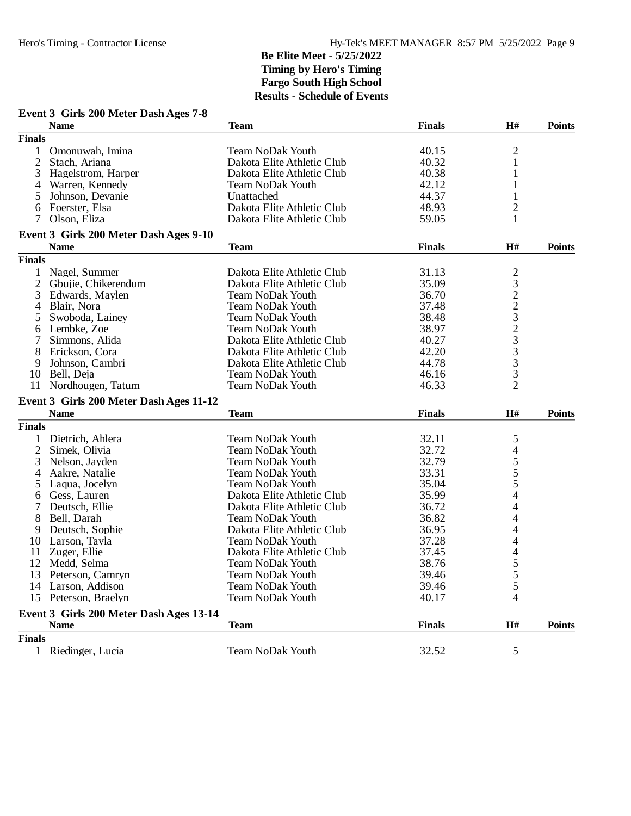| Event 3 Girls 200 Meter Dash Ages 7-8 |  |  |  |  |  |  |  |
|---------------------------------------|--|--|--|--|--|--|--|
|---------------------------------------|--|--|--|--|--|--|--|

|                | <b>Name</b>                             | <b>Team</b>                | <b>Finals</b> | H#             | <b>Points</b> |
|----------------|-----------------------------------------|----------------------------|---------------|----------------|---------------|
| <b>Finals</b>  |                                         |                            |               |                |               |
| 1              | Omonuwah, Imina                         | <b>Team NoDak Youth</b>    | 40.15         | $\overline{c}$ |               |
| 2              | Stach, Ariana                           | Dakota Elite Athletic Club | 40.32         | $\mathbf{1}$   |               |
| 3              | Hagelstrom, Harper                      | Dakota Elite Athletic Club | 40.38         | 1              |               |
| 4              | Warren, Kennedy                         | Team NoDak Youth           | 42.12         | 1              |               |
| 5              | Johnson, Devanie                        | Unattached                 | 44.37         | 1              |               |
| 6              | Foerster, Elsa                          | Dakota Elite Athletic Club | 48.93         | $\overline{c}$ |               |
| 7              | Olson, Eliza                            | Dakota Elite Athletic Club | 59.05         | $\mathbf{1}$   |               |
|                |                                         |                            |               |                |               |
|                | Event 3 Girls 200 Meter Dash Ages 9-10  |                            |               |                |               |
|                | <b>Name</b>                             | <b>Team</b>                | <b>Finals</b> | H#             | <b>Points</b> |
| <b>Finals</b>  |                                         |                            |               |                |               |
| 1              | Nagel, Summer                           | Dakota Elite Athletic Club | 31.13         |                |               |
| $\overline{2}$ | Gbujie, Chikerendum                     | Dakota Elite Athletic Club | 35.09         |                |               |
| 3              | Edwards, Maylen                         | Team NoDak Youth           | 36.70         |                |               |
| 4              | Blair, Nora                             | <b>Team NoDak Youth</b>    | 37.48         |                |               |
| 5              | Swoboda, Lainey                         | Team NoDak Youth           | 38.48         |                |               |
| 6              | Lembke, Zoe                             | <b>Team NoDak Youth</b>    | 38.97         |                |               |
| 7              | Simmons, Alida                          | Dakota Elite Athletic Club | 40.27         |                |               |
| 8              | Erickson, Cora                          | Dakota Elite Athletic Club | 42.20         | 23223233       |               |
| 9              | Johnson, Cambri                         | Dakota Elite Athletic Club | 44.78         | 3              |               |
| 10             | Bell, Deja                              | <b>Team NoDak Youth</b>    | 46.16         | 3              |               |
|                | 11 Nordhougen, Tatum                    | <b>Team NoDak Youth</b>    | 46.33         | $\overline{2}$ |               |
|                | Event 3 Girls 200 Meter Dash Ages 11-12 |                            |               |                |               |
|                | <b>Name</b>                             | <b>Team</b>                | <b>Finals</b> | H#             | <b>Points</b> |
|                |                                         |                            |               |                |               |
| <b>Finals</b>  |                                         |                            |               |                |               |
| 1              | Dietrich, Ahlera                        | <b>Team NoDak Youth</b>    | 32.11         | 5              |               |
| $\overline{2}$ | Simek, Olivia                           | <b>Team NoDak Youth</b>    | 32.72         | 4              |               |
| 3              | Nelson, Jayden                          | <b>Team NoDak Youth</b>    | 32.79         | 5              |               |
| 4              | Aakre, Natalie                          | <b>Team NoDak Youth</b>    | 33.31         | 5              |               |
| 5              | Laqua, Jocelyn                          | <b>Team NoDak Youth</b>    | 35.04         | 5              |               |
| 6              | Gess, Lauren                            | Dakota Elite Athletic Club | 35.99         | $\overline{4}$ |               |
| 7              | Deutsch, Ellie                          | Dakota Elite Athletic Club | 36.72         | 4              |               |
| 8              | Bell, Darah                             | <b>Team NoDak Youth</b>    | 36.82         | 4              |               |
| 9              | Deutsch, Sophie                         | Dakota Elite Athletic Club | 36.95         | 4              |               |
| 10             | Larson, Tayla                           | <b>Team NoDak Youth</b>    | 37.28         | 4              |               |
| 11             | Zuger, Ellie                            | Dakota Elite Athletic Club | 37.45         | 4              |               |
| 12             | Medd, Selma                             | Team NoDak Youth           | 38.76         |                |               |
| 13             | Peterson, Camryn                        | Team NoDak Youth           | 39.46         | $\frac{5}{5}$  |               |
| 14             | Larson, Addison                         | Team NoDak Youth           | 39.46         | 5              |               |
|                | 15 Peterson, Braelyn                    | <b>Team NoDak Youth</b>    | 40.17         | 4              |               |
|                | Event 3 Girls 200 Meter Dash Ages 13-14 |                            |               |                |               |
|                | <b>Name</b>                             | <b>Team</b>                | <b>Finals</b> | H#             | <b>Points</b> |
| <b>Finals</b>  |                                         |                            |               |                |               |
|                | 1 Riedinger, Lucia                      | <b>Team NoDak Youth</b>    | 32.52         | 5              |               |
|                |                                         |                            |               |                |               |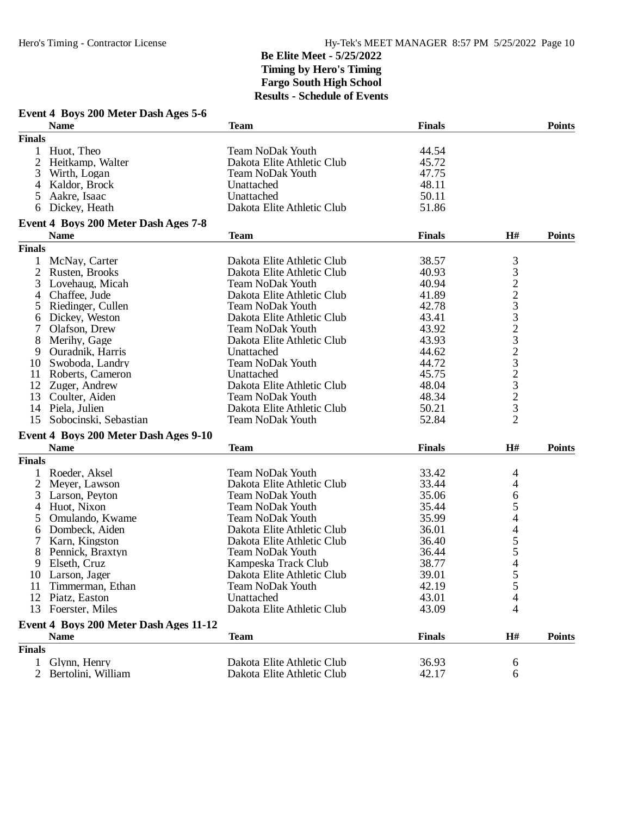|                | Event 4 Boys 200 Meter Dash Ages 5-6<br><b>Name</b> | Team                                               | <b>Finals</b> |                                                        | <b>Points</b> |
|----------------|-----------------------------------------------------|----------------------------------------------------|---------------|--------------------------------------------------------|---------------|
| <b>Finals</b>  |                                                     |                                                    |               |                                                        |               |
| $\mathbf{1}$   | Huot, Theo                                          | <b>Team NoDak Youth</b>                            | 44.54         |                                                        |               |
| 2              | Heitkamp, Walter                                    | Dakota Elite Athletic Club                         | 45.72         |                                                        |               |
|                |                                                     | <b>Team NoDak Youth</b>                            | 47.75         |                                                        |               |
| 3              | Wirth, Logan                                        |                                                    | 48.11         |                                                        |               |
| 4              | Kaldor, Brock                                       | Unattached                                         |               |                                                        |               |
| 5              | Aakre, Isaac                                        | Unattached                                         | 50.11         |                                                        |               |
| 6              | Dickey, Heath                                       | Dakota Elite Athletic Club                         | 51.86         |                                                        |               |
|                | Event 4 Boys 200 Meter Dash Ages 7-8                |                                                    |               |                                                        |               |
|                | <b>Name</b>                                         | <b>Team</b>                                        | <b>Finals</b> | H#                                                     | <b>Points</b> |
| <b>Finals</b>  |                                                     |                                                    |               |                                                        |               |
| 1              | McNay, Carter                                       | Dakota Elite Athletic Club                         | 38.57         | 3                                                      |               |
| 2              | Rusten, Brooks                                      | Dakota Elite Athletic Club                         | 40.93         | 3                                                      |               |
| 3              | Lovehaug, Micah                                     | <b>Team NoDak Youth</b>                            | 40.94         | $\begin{array}{c}\n2 \\ 2 \\ 3 \\ 3 \\ 2\n\end{array}$ |               |
| 4              | Chaffee, Jude                                       | Dakota Elite Athletic Club                         | 41.89         |                                                        |               |
| 5              | Riedinger, Cullen                                   | <b>Team NoDak Youth</b>                            | 42.78         |                                                        |               |
| 6              | Dickey, Weston                                      | Dakota Elite Athletic Club                         | 43.41         |                                                        |               |
| 7              | Olafson, Drew                                       | <b>Team NoDak Youth</b>                            | 43.92         |                                                        |               |
| 8              | Merihy, Gage                                        | Dakota Elite Athletic Club                         | 43.93         | 3                                                      |               |
| 9              | Ouradnik, Harris                                    | Unattached                                         | 44.62         |                                                        |               |
| 10             | Swoboda, Landry                                     | <b>Team NoDak Youth</b>                            | 44.72         | $\frac{2}{3}$                                          |               |
| 11             | Roberts, Cameron                                    | Unattached                                         | 45.75         |                                                        |               |
|                | 12 Zuger, Andrew                                    | Dakota Elite Athletic Club                         | 48.04         |                                                        |               |
| 13             | Coulter, Aiden                                      | <b>Team NoDak Youth</b>                            | 48.34         | $\frac{2}{3}$                                          |               |
| 14             | Piela, Julien                                       | Dakota Elite Athletic Club                         | 50.21         | 3                                                      |               |
| 15             | Sobocinski, Sebastian                               | <b>Team NoDak Youth</b>                            | 52.84         | $\overline{2}$                                         |               |
|                | Event 4 Boys 200 Meter Dash Ages 9-10               |                                                    |               |                                                        |               |
|                | <b>Name</b>                                         | <b>Team</b>                                        | <b>Finals</b> | H#                                                     | <b>Points</b> |
| <b>Finals</b>  |                                                     |                                                    |               |                                                        |               |
| 1              | Roeder, Aksel                                       | <b>Team NoDak Youth</b>                            | 33.42         |                                                        |               |
| $\overline{2}$ | Meyer, Lawson                                       | Dakota Elite Athletic Club                         | 33.44         | 4<br>4                                                 |               |
|                | Larson, Peyton                                      | <b>Team NoDak Youth</b>                            | 35.06         |                                                        |               |
| 3              | Huot, Nixon                                         |                                                    |               | 6                                                      |               |
| 4              |                                                     | <b>Team NoDak Youth</b><br><b>Team NoDak Youth</b> | 35.44         | 5                                                      |               |
| 5              | Omulando, Kwame                                     |                                                    | 35.99         | 4                                                      |               |
| 6              | Dombeck, Aiden                                      | Dakota Elite Athletic Club                         | 36.01         | 4                                                      |               |
| 7              | Karn, Kingston                                      | Dakota Elite Athletic Club                         | 36.40         | 5                                                      |               |
| 8              | Pennick, Braxtyn                                    | <b>Team NoDak Youth</b>                            | 36.44         | 5                                                      |               |
| 9              | Elseth, Cruz                                        | Kampeska Track Club                                | 38.77         | 4                                                      |               |
|                | 10 Larson, Jager                                    | Dakota Elite Athletic Club                         | 39.01         | 5                                                      |               |
| 11             | Timmerman, Ethan                                    | <b>Team NoDak Youth</b>                            | 42.19         | 5                                                      |               |
|                | 12 Piatz, Easton                                    | Unattached                                         | 43.01         | 4                                                      |               |
|                | 13 Foerster, Miles                                  | Dakota Elite Athletic Club                         | 43.09         | 4                                                      |               |
|                | Event 4 Boys 200 Meter Dash Ages 11-12              |                                                    |               |                                                        |               |
|                | <b>Name</b>                                         | Team                                               | <b>Finals</b> | H#                                                     | <b>Points</b> |
| <b>Finals</b>  |                                                     |                                                    |               |                                                        |               |
|                | Glynn, Henry                                        | Dakota Elite Athletic Club                         | 36.93         | 6                                                      |               |
| 2              | Bertolini, William                                  | Dakota Elite Athletic Club                         | 42.17         | 6                                                      |               |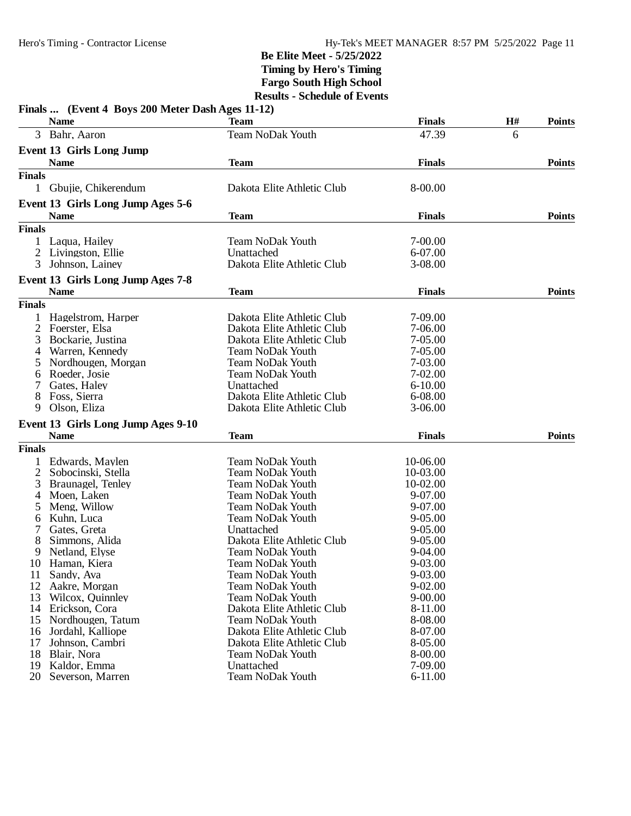|                | Finals  (Event 4 Boys 200 Meter Dash Ages 11-12) | <b>Team</b>                | <b>Finals</b> | H# | <b>Points</b> |
|----------------|--------------------------------------------------|----------------------------|---------------|----|---------------|
|                | <b>Name</b><br>3 Bahr, Aaron                     | <b>Team NoDak Youth</b>    | 47.39         |    |               |
|                |                                                  |                            |               | 6  |               |
|                | <b>Event 13 Girls Long Jump</b>                  |                            |               |    |               |
|                | <b>Name</b>                                      | <b>Team</b>                | <b>Finals</b> |    | <b>Points</b> |
| <b>Finals</b>  |                                                  |                            |               |    |               |
|                | 1 Gbujie, Chikerendum                            | Dakota Elite Athletic Club | 8-00.00       |    |               |
|                | Event 13 Girls Long Jump Ages 5-6                |                            |               |    |               |
|                | <b>Name</b>                                      | <b>Team</b>                | <b>Finals</b> |    | <b>Points</b> |
| <b>Finals</b>  |                                                  |                            |               |    |               |
|                | Laqua, Hailey                                    | <b>Team NoDak Youth</b>    | 7-00.00       |    |               |
| 2              | Livingston, Ellie                                | Unattached                 | 6-07.00       |    |               |
| 3              | Johnson, Lainey                                  | Dakota Elite Athletic Club | 3-08.00       |    |               |
|                | Event 13 Girls Long Jump Ages 7-8                |                            |               |    |               |
|                | <b>Name</b>                                      | <b>Team</b>                | <b>Finals</b> |    | <b>Points</b> |
| <b>Finals</b>  |                                                  |                            |               |    |               |
|                | Hagelstrom, Harper                               | Dakota Elite Athletic Club | 7-09.00       |    |               |
| 2              | Foerster, Elsa                                   | Dakota Elite Athletic Club | 7-06.00       |    |               |
| 3              | Bockarie, Justina                                | Dakota Elite Athletic Club | $7 - 05.00$   |    |               |
| 4              | Warren, Kennedy                                  | <b>Team NoDak Youth</b>    | $7 - 05.00$   |    |               |
|                | Nordhougen, Morgan                               | <b>Team NoDak Youth</b>    | 7-03.00       |    |               |
| 5              |                                                  |                            |               |    |               |
| 6              | Roeder, Josie                                    | <b>Team NoDak Youth</b>    | $7 - 02.00$   |    |               |
|                | Gates, Haley                                     | Unattached                 | $6 - 10.00$   |    |               |
| 8              | Foss, Sierra                                     | Dakota Elite Athletic Club | 6-08.00       |    |               |
| 9              | Olson, Eliza                                     | Dakota Elite Athletic Club | $3-06.00$     |    |               |
|                | Event 13 Girls Long Jump Ages 9-10               |                            |               |    |               |
|                | <b>Name</b>                                      | <b>Team</b>                | <b>Finals</b> |    | <b>Points</b> |
| <b>Finals</b>  |                                                  |                            |               |    |               |
|                | Edwards, Maylen                                  | <b>Team NoDak Youth</b>    | 10-06.00      |    |               |
| $\overline{2}$ | Sobocinski, Stella                               | <b>Team NoDak Youth</b>    | 10-03.00      |    |               |
| 3              | Braunagel, Tenley                                | Team NoDak Youth           | 10-02.00      |    |               |
| 4              | Moen, Laken                                      | <b>Team NoDak Youth</b>    | 9-07.00       |    |               |
| 5              | Meng, Willow                                     | <b>Team NoDak Youth</b>    | 9-07.00       |    |               |
| 6              | Kuhn, Luca                                       | Team NoDak Youth           | $9 - 05.00$   |    |               |
|                | Gates, Greta                                     | Unattached                 | $9 - 05.00$   |    |               |
| 8              | Simmons, Alida                                   | Dakota Elite Athletic Club | $9 - 05.00$   |    |               |
| 9              | Netland, Elyse                                   | <b>Team NoDak Youth</b>    | 9-04.00       |    |               |
| 10             | Haman, Kiera                                     | Team NoDak Youth           | 9-03.00       |    |               |
| 11             | Sandy, Ava                                       | <b>Team NoDak Youth</b>    | 9-03.00       |    |               |
| 12             | Aakre, Morgan                                    | <b>Team NoDak Youth</b>    | $9 - 02.00$   |    |               |
| 13             | Wilcox, Quinnley                                 | Team NoDak Youth           | $9 - 00.00$   |    |               |
|                | 14 Erickson, Cora                                | Dakota Elite Athletic Club | 8-11.00       |    |               |
| 15             | Nordhougen, Tatum                                | <b>Team NoDak Youth</b>    | 8-08.00       |    |               |
| 16             | Jordahl, Kalliope                                | Dakota Elite Athletic Club | 8-07.00       |    |               |
| 17             | Johnson, Cambri                                  | Dakota Elite Athletic Club | 8-05.00       |    |               |
| 18             | Blair, Nora                                      | <b>Team NoDak Youth</b>    | 8-00.00       |    |               |
| 19             | Kaldor, Emma                                     | Unattached                 | 7-09.00       |    |               |
|                | 20 Severson, Marren                              | Team NoDak Youth           | $6 - 11.00$   |    |               |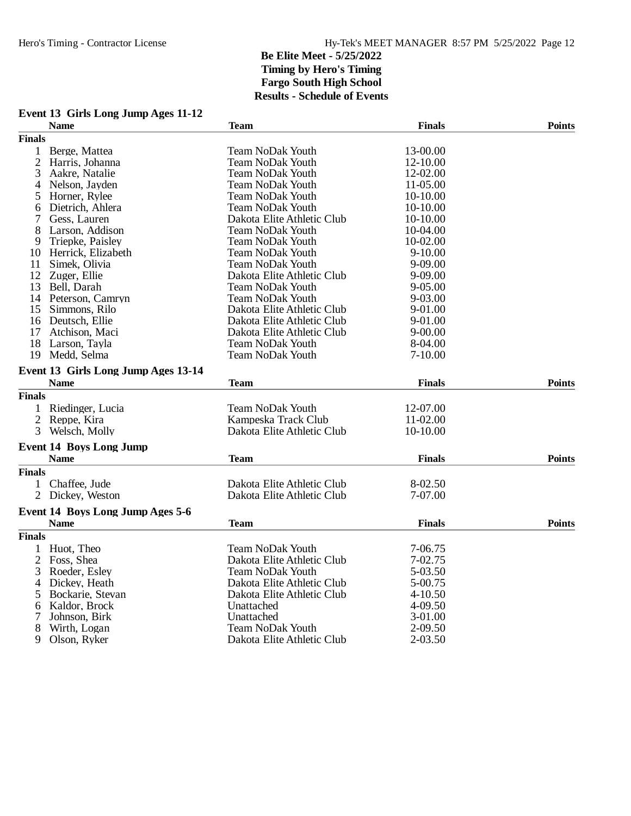|                | Event 13 Girls Long Jump Ages 11-12 |                            |               |               |
|----------------|-------------------------------------|----------------------------|---------------|---------------|
|                | <b>Name</b>                         | <b>Team</b>                | <b>Finals</b> | <b>Points</b> |
| <b>Finals</b>  |                                     |                            |               |               |
| 1              | Berge, Mattea                       | <b>Team NoDak Youth</b>    | 13-00.00      |               |
| $\overline{2}$ | Harris, Johanna                     | Team NoDak Youth           | 12-10.00      |               |
| 3              | Aakre, Natalie                      | <b>Team NoDak Youth</b>    | 12-02.00      |               |
| 4              | Nelson, Jayden                      | <b>Team NoDak Youth</b>    | 11-05.00      |               |
| 5              | Horner, Rylee                       | Team NoDak Youth           | 10-10.00      |               |
| 6              | Dietrich, Ahlera                    | Team NoDak Youth           | 10-10.00      |               |
| 7              | Gess, Lauren                        | Dakota Elite Athletic Club | 10-10.00      |               |
| 8              | Larson, Addison                     | <b>Team NoDak Youth</b>    | 10-04.00      |               |
| 9              | Triepke, Paisley                    | Team NoDak Youth           | 10-02.00      |               |
|                | 10 Herrick, Elizabeth               | <b>Team NoDak Youth</b>    | $9-10.00$     |               |
| 11             | Simek, Olivia                       | <b>Team NoDak Youth</b>    | $9 - 09.00$   |               |
|                | 12 Zuger, Ellie                     | Dakota Elite Athletic Club | 9-09.00       |               |
|                | 13 Bell, Darah                      | <b>Team NoDak Youth</b>    | $9 - 05.00$   |               |
|                | 14 Peterson, Camryn                 | Team NoDak Youth           | 9-03.00       |               |
| 15             | Simmons, Rilo                       | Dakota Elite Athletic Club | 9-01.00       |               |
|                | 16 Deutsch, Ellie                   | Dakota Elite Athletic Club | 9-01.00       |               |
| 17             | Atchison, Maci                      | Dakota Elite Athletic Club | $9 - 00.00$   |               |
|                | 18 Larson, Tayla                    | <b>Team NoDak Youth</b>    | 8-04.00       |               |
|                | 19 Medd, Selma                      | <b>Team NoDak Youth</b>    | $7 - 10.00$   |               |
|                |                                     |                            |               |               |
|                | Event 13 Girls Long Jump Ages 13-14 |                            |               |               |
|                | <b>Name</b>                         | <b>Team</b>                | <b>Finals</b> | <b>Points</b> |
| <b>Finals</b>  |                                     |                            |               |               |
|                | 1 Riedinger, Lucia                  | <b>Team NoDak Youth</b>    | 12-07.00      |               |
|                | 2 Reppe, Kira                       | Kampeska Track Club        | 11-02.00      |               |
| 3              | Welsch, Molly                       | Dakota Elite Athletic Club | 10-10.00      |               |
|                | <b>Event 14 Boys Long Jump</b>      |                            |               |               |
|                | <b>Name</b>                         | Team                       | <b>Finals</b> | <b>Points</b> |
| <b>Finals</b>  |                                     |                            |               |               |
| $\mathbf{1}$   | Chaffee, Jude                       | Dakota Elite Athletic Club | 8-02.50       |               |
|                | 2 Dickey, Weston                    | Dakota Elite Athletic Club | 7-07.00       |               |
|                | Event 14 Boys Long Jump Ages 5-6    |                            |               |               |
|                | <b>Name</b>                         | <b>Team</b>                | <b>Finals</b> | <b>Points</b> |
| <b>Finals</b>  |                                     |                            |               |               |
| 1              | Huot, Theo                          | <b>Team NoDak Youth</b>    | 7-06.75       |               |
| 2              | Foss, Shea                          | Dakota Elite Athletic Club | 7-02.75       |               |
| 3              | Roeder, Esley                       | Team NoDak Youth           | 5-03.50       |               |
|                | 4 Dickey, Heath                     | Dakota Elite Athletic Club | 5-00.75       |               |
| 5              | Bockarie, Stevan                    | Dakota Elite Athletic Club | $4 - 10.50$   |               |
| 6              | Kaldor, Brock                       | Unattached                 | 4-09.50       |               |
| 7              | Johnson, Birk                       | Unattached                 | 3-01.00       |               |
| 8              | Wirth, Logan                        | <b>Team NoDak Youth</b>    | 2-09.50       |               |
| 9              |                                     |                            | $2 - 03.50$   |               |
|                | Olson, Ryker                        | Dakota Elite Athletic Club |               |               |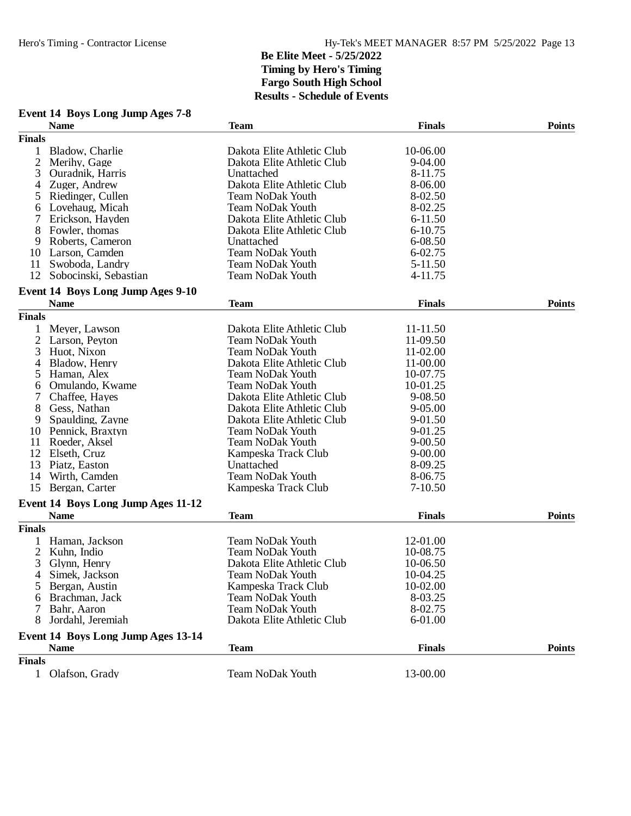| Event 14 Boys Long Jump Ages 7-8   |                            |               |               |
|------------------------------------|----------------------------|---------------|---------------|
| <b>Name</b>                        | <b>Team</b>                | <b>Finals</b> | Points        |
| <b>Finals</b>                      |                            |               |               |
| Bladow, Charlie<br>1               | Dakota Elite Athletic Club | 10-06.00      |               |
| 2<br>Merihy, Gage                  | Dakota Elite Athletic Club | 9-04.00       |               |
| 3<br>Ouradnik, Harris              | Unattached                 | 8-11.75       |               |
| Zuger, Andrew<br>4                 | Dakota Elite Athletic Club | 8-06.00       |               |
| Riedinger, Cullen<br>5             | <b>Team NoDak Youth</b>    | 8-02.50       |               |
| Lovehaug, Micah<br>6               | <b>Team NoDak Youth</b>    | 8-02.25       |               |
| 7<br>Erickson, Hayden              | Dakota Elite Athletic Club | $6 - 11.50$   |               |
| 8<br>Fowler, thomas                | Dakota Elite Athletic Club | 6-10.75       |               |
| Roberts, Cameron<br>9              | Unattached                 | 6-08.50       |               |
| Larson, Camden<br>10               | <b>Team NoDak Youth</b>    | 6-02.75       |               |
| Swoboda, Landry<br>11              | <b>Team NoDak Youth</b>    | 5-11.50       |               |
| 12<br>Sobocinski, Sebastian        | Team NoDak Youth           | 4-11.75       |               |
| Event 14 Boys Long Jump Ages 9-10  |                            |               |               |
| <b>Name</b>                        | <b>Team</b>                | <b>Finals</b> | <b>Points</b> |
| <b>Finals</b>                      |                            |               |               |
| 1<br>Meyer, Lawson                 | Dakota Elite Athletic Club | 11-11.50      |               |
| 2<br>Larson, Peyton                | Team NoDak Youth           | 11-09.50      |               |
| 3<br>Huot, Nixon                   | <b>Team NoDak Youth</b>    | 11-02.00      |               |
| Bladow, Henry<br>4                 | Dakota Elite Athletic Club | 11-00.00      |               |
| 5<br>Haman, Alex                   | Team NoDak Youth           | 10-07.75      |               |
| Omulando, Kwame<br>6               | <b>Team NoDak Youth</b>    | 10-01.25      |               |
| 7<br>Chaffee, Hayes                | Dakota Elite Athletic Club | 9-08.50       |               |
| 8<br>Gess, Nathan                  | Dakota Elite Athletic Club | 9-05.00       |               |
| 9<br>Spaulding, Zayne              | Dakota Elite Athletic Club | 9-01.50       |               |
| 10<br>Pennick, Braxtyn             | <b>Team NoDak Youth</b>    | 9-01.25       |               |
| 11<br>Roeder, Aksel                | Team NoDak Youth           | $9 - 00.50$   |               |
| 12<br>Elseth, Cruz                 | Kampeska Track Club        | $9 - 00.00$   |               |
| 13<br>Piatz, Easton                | Unattached                 | 8-09.25       |               |
| Wirth, Camden<br>14                | Team NoDak Youth           | 8-06.75       |               |
| Bergan, Carter<br>15               | Kampeska Track Club        | $7-10.50$     |               |
|                                    |                            |               |               |
| Event 14 Boys Long Jump Ages 11-12 | <b>Team</b>                | <b>Finals</b> |               |
| <b>Name</b>                        |                            |               | <b>Points</b> |
| <b>Finals</b>                      |                            |               |               |
| Haman, Jackson                     | Team NoDak Youth           | 12-01.00      |               |
| 2<br>Kuhn, Indio                   | <b>Team NoDak Youth</b>    | 10-08.75      |               |
| 3<br>Glynn, Henry                  | Dakota Elite Athletic Club | 10-06.50      |               |
| Simek, Jackson<br>4                | Team NoDak Youth           | 10-04.25      |               |
| Bergan, Austin<br>5                | Kampeska Track Club        | 10-02.00      |               |
| Brachman, Jack<br>6                | <b>Team NoDak Youth</b>    | 8-03.25       |               |
| 7<br>Bahr, Aaron                   | <b>Team NoDak Youth</b>    | 8-02.75       |               |
| Jordahl, Jeremiah<br>8             | Dakota Elite Athletic Club | 6-01.00       |               |
| Event 14 Boys Long Jump Ages 13-14 |                            |               |               |
| <b>Name</b>                        | <b>Team</b>                | <b>Finals</b> | <b>Points</b> |
| <b>Finals</b>                      |                            |               |               |
| Olafson, Grady<br>1                | Team NoDak Youth           | 13-00.00      |               |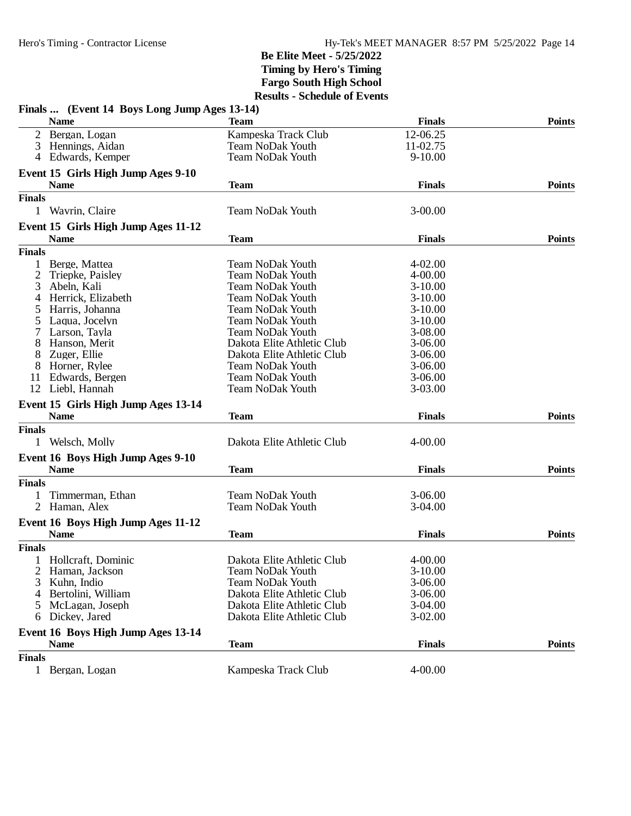| Finals  (Event 14 Boys Long Jump Ages 13-14) |                            |               |               |
|----------------------------------------------|----------------------------|---------------|---------------|
| <b>Name</b>                                  | <b>Team</b>                | <b>Finals</b> | <b>Points</b> |
| Bergan, Logan<br>2                           | Kampeska Track Club        | 12-06.25      |               |
| 3<br>Hennings, Aidan                         | <b>Team NoDak Youth</b>    | 11-02.75      |               |
| Edwards, Kemper<br>4                         | <b>Team NoDak Youth</b>    | $9-10.00$     |               |
| Event 15 Girls High Jump Ages 9-10           |                            |               |               |
| <b>Name</b>                                  | <b>Team</b>                | <b>Finals</b> | <b>Points</b> |
| <b>Finals</b>                                |                            |               |               |
| 1 Wavrin, Claire                             | <b>Team NoDak Youth</b>    | $3 - 00.00$   |               |
| Event 15 Girls High Jump Ages 11-12          |                            |               |               |
| <b>Name</b>                                  | <b>Team</b>                | <b>Finals</b> | <b>Points</b> |
| <b>Finals</b>                                |                            |               |               |
| Berge, Mattea                                | <b>Team NoDak Youth</b>    | $4 - 02.00$   |               |
| 2<br>Triepke, Paisley                        | <b>Team NoDak Youth</b>    | $4 - 00.00$   |               |
| Abeln, Kali<br>3                             | <b>Team NoDak Youth</b>    | $3-10.00$     |               |
| Herrick, Elizabeth<br>4                      | <b>Team NoDak Youth</b>    | $3-10.00$     |               |
|                                              |                            |               |               |
| Harris, Johanna<br>5                         | <b>Team NoDak Youth</b>    | $3-10.00$     |               |
| Laqua, Jocelyn<br>5                          | <b>Team NoDak Youth</b>    | $3-10.00$     |               |
| Larson, Tayla                                | <b>Team NoDak Youth</b>    | 3-08.00       |               |
| Hanson, Merit<br>8                           | Dakota Elite Athletic Club | $3-06.00$     |               |
| 8<br>Zuger, Ellie                            | Dakota Elite Athletic Club | $3-06.00$     |               |
| 8<br>Horner, Rylee                           | <b>Team NoDak Youth</b>    | $3-06.00$     |               |
| Edwards, Bergen<br>11                        | <b>Team NoDak Youth</b>    | $3 - 06.00$   |               |
| 12<br>Liebl. Hannah                          | <b>Team NoDak Youth</b>    | 3-03.00       |               |
| Event 15 Girls High Jump Ages 13-14          |                            |               |               |
| <b>Name</b>                                  | <b>Team</b>                | <b>Finals</b> | <b>Points</b> |
| <b>Finals</b>                                |                            |               |               |
| Welsch, Molly<br>$\mathbf{1}$                | Dakota Elite Athletic Club | $4 - 00.00$   |               |
| Event 16 Boys High Jump Ages 9-10            |                            |               |               |
| <b>Name</b>                                  | <b>Team</b>                | <b>Finals</b> | <b>Points</b> |
| <b>Finals</b>                                |                            |               |               |
| Timmerman, Ethan                             | <b>Team NoDak Youth</b>    | $3 - 06.00$   |               |
| 2 Haman, Alex                                | Team NoDak Youth           | $3-04.00$     |               |
|                                              |                            |               |               |
| Event 16 Boys High Jump Ages 11-12           |                            |               |               |
| <b>Name</b>                                  | <b>Team</b>                | <b>Finals</b> | <b>Points</b> |
| <b>Finals</b>                                |                            |               |               |
| 1 Hollcraft, Dominic                         | Dakota Elite Athletic Club | $4 - 00.00$   |               |
| 2<br>Haman, Jackson                          | <b>Team NoDak Youth</b>    | $3-10.00$     |               |
| Kuhn, Indio<br>3                             | Team NoDak Youth           | $3 - 06.00$   |               |
| Bertolini, William<br>4                      | Dakota Elite Athletic Club | $3 - 06.00$   |               |
| McLagan, Joseph<br>5                         | Dakota Elite Athletic Club | 3-04.00       |               |
| Dickey, Jared<br>6                           | Dakota Elite Athletic Club | $3-02.00$     |               |
| Event 16 Boys High Jump Ages 13-14           |                            |               |               |
| <b>Name</b>                                  | <b>Team</b>                | <b>Finals</b> | <b>Points</b> |
| <b>Finals</b>                                |                            |               |               |
| Bergan, Logan<br>$\mathbf{1}$                | Kampeska Track Club        | 4-00.00       |               |
|                                              |                            |               |               |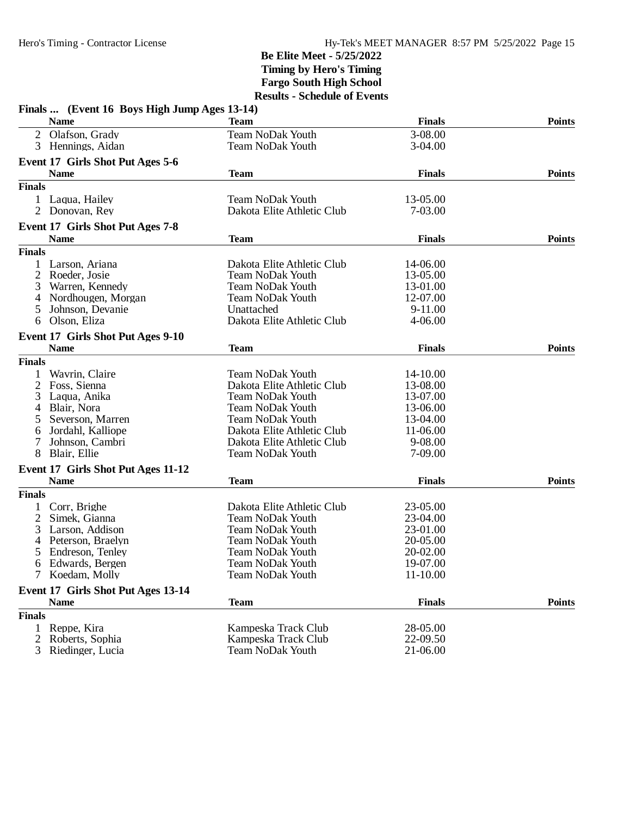| Finals  (Event 16 Boys High Jump Ages 13-14)      |                            |               |               |
|---------------------------------------------------|----------------------------|---------------|---------------|
| <b>Name</b>                                       | <b>Team</b>                | <b>Finals</b> | <b>Points</b> |
| 2 Olafson, Grady                                  | <b>Team NoDak Youth</b>    | 3-08.00       |               |
| 3<br>Hennings, Aidan                              | <b>Team NoDak Youth</b>    | $3-04.00$     |               |
| Event 17 Girls Shot Put Ages 5-6                  |                            |               |               |
| <b>Name</b>                                       | <b>Team</b>                | <b>Finals</b> | <b>Points</b> |
| <b>Finals</b>                                     |                            |               |               |
| 1 Laqua, Hailey                                   | <b>Team NoDak Youth</b>    | 13-05.00      |               |
| 2<br>Donovan, Rey                                 | Dakota Elite Athletic Club | 7-03.00       |               |
|                                                   |                            |               |               |
| Event 17 Girls Shot Put Ages 7-8                  |                            |               |               |
| <b>Name</b>                                       | <b>Team</b>                | <b>Finals</b> | <b>Points</b> |
| <b>Finals</b>                                     |                            |               |               |
| Larson, Ariana                                    | Dakota Elite Athletic Club | 14-06.00      |               |
| 2<br>Roeder, Josie                                | <b>Team NoDak Youth</b>    | 13-05.00      |               |
| 3<br>Warren, Kennedy                              | <b>Team NoDak Youth</b>    | 13-01.00      |               |
| Nordhougen, Morgan<br>4                           | <b>Team NoDak Youth</b>    | 12-07.00      |               |
| Johnson, Devanie<br>5                             | Unattached                 | 9-11.00       |               |
| Olson, Eliza<br>6                                 | Dakota Elite Athletic Club | $4 - 06.00$   |               |
| Event 17 Girls Shot Put Ages 9-10                 |                            |               |               |
| <b>Name</b>                                       | <b>Team</b>                | <b>Finals</b> | <b>Points</b> |
| <b>Finals</b>                                     |                            |               |               |
| Wavrin, Claire                                    | <b>Team NoDak Youth</b>    | 14-10.00      |               |
| 2<br>Foss, Sienna                                 | Dakota Elite Athletic Club | 13-08.00      |               |
| 3<br>Laqua, Anika                                 | <b>Team NoDak Youth</b>    | 13-07.00      |               |
| Blair, Nora                                       | <b>Team NoDak Youth</b>    | 13-06.00      |               |
| 4                                                 |                            |               |               |
| Severson, Marren<br>5                             | <b>Team NoDak Youth</b>    | 13-04.00      |               |
| Jordahl, Kalliope<br>6                            | Dakota Elite Athletic Club | 11-06.00      |               |
| Johnson, Cambri<br>7                              | Dakota Elite Athletic Club | 9-08.00       |               |
| 8<br>Blair, Ellie                                 | <b>Team NoDak Youth</b>    | 7-09.00       |               |
| Event 17 Girls Shot Put Ages 11-12                |                            |               |               |
| <b>Name</b>                                       | <b>Team</b>                | <b>Finals</b> | <b>Points</b> |
| <b>Finals</b>                                     |                            |               |               |
| Corr, Brighe                                      | Dakota Elite Athletic Club | 23-05.00      |               |
| $\overline{c}$<br>Simek, Gianna                   | <b>Team NoDak Youth</b>    | 23-04.00      |               |
| 3<br>Larson, Addison                              | <b>Team NoDak Youth</b>    | 23-01.00      |               |
| Peterson, Braelyn<br>4                            | <b>Team NoDak Youth</b>    | 20-05.00      |               |
| Endreson, Tenley                                  | Team NoDak Youth           | 20-02.00      |               |
| Edwards, Bergen<br>6                              | <b>Team NoDak Youth</b>    | 19-07.00      |               |
| 7 Koedam, Molly                                   | <b>Team NoDak Youth</b>    | 11-10.00      |               |
|                                                   |                            |               |               |
| Event 17 Girls Shot Put Ages 13-14<br><b>Name</b> | <b>Team</b>                | <b>Finals</b> | <b>Points</b> |
| <b>Finals</b>                                     |                            |               |               |
|                                                   | Kampeska Track Club        | 28-05.00      |               |
| Reppe, Kira<br>1                                  |                            |               |               |
| Roberts, Sophia<br>2                              | Kampeska Track Club        | 22-09.50      |               |
| 3<br>Riedinger, Lucia                             | <b>Team NoDak Youth</b>    | 21-06.00      |               |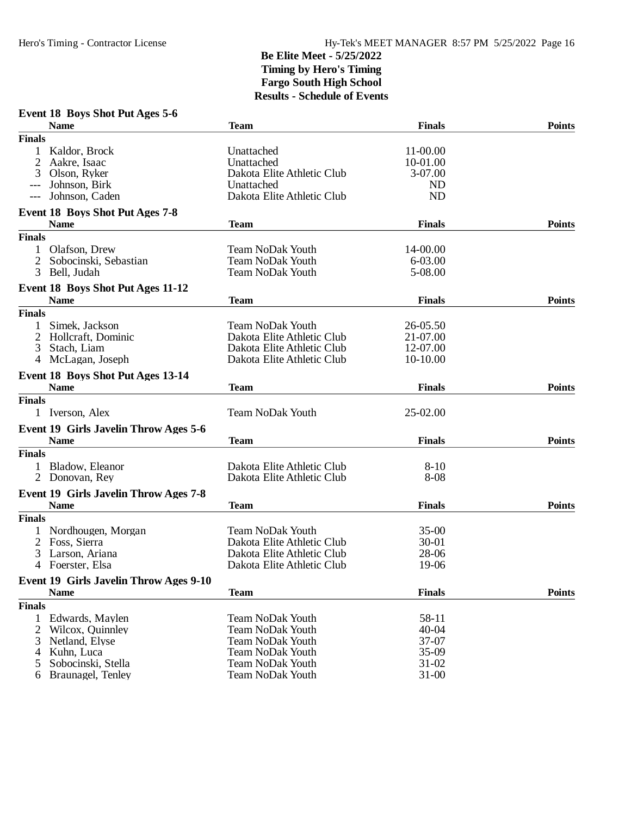#### **Event 18 Boys Shot Put Ages 5-6**

|                | <b>Name</b>                                  | <b>Team</b>                | <b>Finals</b> | <b>Points</b> |
|----------------|----------------------------------------------|----------------------------|---------------|---------------|
| <b>Finals</b>  |                                              |                            |               |               |
|                | Kaldor, Brock                                | Unattached                 | 11-00.00      |               |
| 2              | Aakre, Isaac                                 | Unattached                 | 10-01.00      |               |
| 3              | Olson, Ryker                                 | Dakota Elite Athletic Club | 3-07.00       |               |
|                | Johnson, Birk                                | Unattached                 | <b>ND</b>     |               |
| $---$          | Johnson, Caden                               | Dakota Elite Athletic Club | <b>ND</b>     |               |
|                | <b>Event 18 Boys Shot Put Ages 7-8</b>       |                            |               |               |
|                | <b>Name</b>                                  | <b>Team</b>                | <b>Finals</b> | <b>Points</b> |
| <b>Finals</b>  |                                              |                            |               |               |
| 1              | Olafson, Drew                                | Team NoDak Youth           | 14-00.00      |               |
| 2              | Sobocinski, Sebastian                        | <b>Team NoDak Youth</b>    | 6-03.00       |               |
| 3              | Bell, Judah                                  | <b>Team NoDak Youth</b>    | 5-08.00       |               |
|                | Event 18 Boys Shot Put Ages 11-12            |                            |               |               |
|                | <b>Name</b>                                  | <b>Team</b>                | <b>Finals</b> | <b>Points</b> |
| <b>Finals</b>  |                                              |                            |               |               |
| 1              | Simek, Jackson                               | Team NoDak Youth           | 26-05.50      |               |
| 2              | Hollcraft, Dominic                           | Dakota Elite Athletic Club | 21-07.00      |               |
| 3              | Stach, Liam                                  | Dakota Elite Athletic Club | 12-07.00      |               |
| $\overline{4}$ | McLagan, Joseph                              | Dakota Elite Athletic Club | 10-10.00      |               |
|                | Event 18 Boys Shot Put Ages 13-14            |                            |               |               |
|                | <b>Name</b>                                  | <b>Team</b>                | <b>Finals</b> | <b>Points</b> |
| <b>Finals</b>  |                                              |                            |               |               |
|                | 1 Iverson, Alex                              | <b>Team NoDak Youth</b>    | 25-02.00      |               |
|                | Event 19 Girls Javelin Throw Ages 5-6        |                            |               |               |
|                | <b>Name</b>                                  | <b>Team</b>                | <b>Finals</b> | <b>Points</b> |
| <b>Finals</b>  |                                              |                            |               |               |
|                | Bladow, Eleanor                              | Dakota Elite Athletic Club | $8-10$        |               |
|                | 2 Donovan, Rey                               | Dakota Elite Athletic Club | $8 - 08$      |               |
|                | <b>Event 19 Girls Javelin Throw Ages 7-8</b> |                            |               |               |
|                | <b>Name</b>                                  | <b>Team</b>                | <b>Finals</b> | <b>Points</b> |
| <b>Finals</b>  |                                              |                            |               |               |
|                | Nordhougen, Morgan                           | <b>Team NoDak Youth</b>    | $35-00$       |               |
|                | 2 Foss, Sierra                               | Dakota Elite Athletic Club | $30 - 01$     |               |
| 3              | Larson, Ariana                               | Dakota Elite Athletic Club | 28-06         |               |
|                | 4 Foerster, Elsa                             | Dakota Elite Athletic Club | 19-06         |               |
|                | Event 19 Girls Javelin Throw Ages 9-10       |                            |               |               |
|                | <b>Name</b>                                  | <b>Team</b>                | <b>Finals</b> | <b>Points</b> |
| <b>Finals</b>  |                                              |                            |               |               |
| 1              | Edwards, Maylen                              | <b>Team NoDak Youth</b>    | 58-11         |               |
| 2              | Wilcox, Quinnley                             | <b>Team NoDak Youth</b>    | $40 - 04$     |               |
| 3              | Netland, Elyse                               | <b>Team NoDak Youth</b>    | 37-07         |               |
| 4              | Kuhn, Luca                                   | <b>Team NoDak Youth</b>    | 35-09         |               |
| 5              | Sobocinski, Stella                           | <b>Team NoDak Youth</b>    | $31 - 02$     |               |
| 6              | Braunagel, Tenley                            | <b>Team NoDak Youth</b>    | $31 - 00$     |               |
|                |                                              |                            |               |               |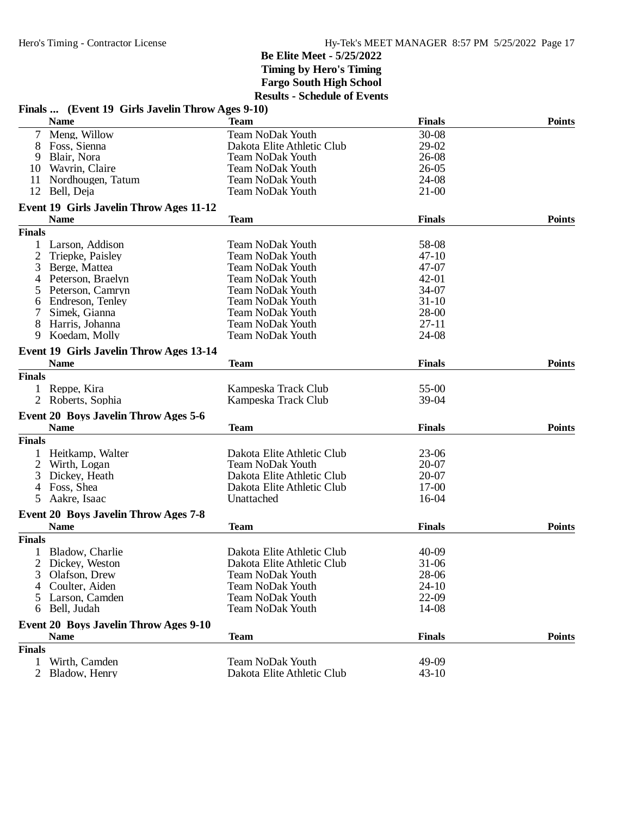| Finals  (Event 19 Girls Javelin Throw Ages 9-10)           |                            |               |               |
|------------------------------------------------------------|----------------------------|---------------|---------------|
| <b>Name</b>                                                | <b>Team</b>                | <b>Finals</b> | <b>Points</b> |
| $\tau$<br>Meng, Willow                                     | <b>Team NoDak Youth</b>    | 30-08         |               |
| Foss, Sienna<br>8                                          | Dakota Elite Athletic Club | 29-02         |               |
| 9<br>Blair, Nora                                           | <b>Team NoDak Youth</b>    | 26-08         |               |
| Wavrin, Claire<br>10                                       | Team NoDak Youth           | $26 - 05$     |               |
| Nordhougen, Tatum<br>11                                    | <b>Team NoDak Youth</b>    | 24-08         |               |
| 12<br>Bell, Deja                                           | <b>Team NoDak Youth</b>    | $21 - 00$     |               |
| Event 19 Girls Javelin Throw Ages 11-12                    |                            |               |               |
| <b>Name</b>                                                | <b>Team</b>                | <b>Finals</b> | <b>Points</b> |
| <b>Finals</b>                                              |                            |               |               |
| Larson, Addison<br>1                                       | <b>Team NoDak Youth</b>    | 58-08         |               |
| 2<br>Triepke, Paisley                                      | <b>Team NoDak Youth</b>    | $47 - 10$     |               |
| 3<br>Berge, Mattea                                         | Team NoDak Youth           | 47-07         |               |
| Peterson, Braelyn<br>4                                     | <b>Team NoDak Youth</b>    | $42 - 01$     |               |
| Peterson, Camryn<br>5                                      | <b>Team NoDak Youth</b>    | 34-07         |               |
| Endreson, Tenley<br>6                                      | <b>Team NoDak Youth</b>    | $31 - 10$     |               |
| 7<br>Simek, Gianna                                         | <b>Team NoDak Youth</b>    | 28-00         |               |
| 8<br>Harris, Johanna                                       | <b>Team NoDak Youth</b>    | $27-11$       |               |
| Koedam, Molly<br>9                                         | Team NoDak Youth           | 24-08         |               |
| <b>Event 19 Girls Javelin Throw Ages 13-14</b>             |                            |               |               |
| <b>Name</b>                                                | <b>Team</b>                | <b>Finals</b> | <b>Points</b> |
| <b>Finals</b>                                              |                            |               |               |
| 1 Reppe, Kira                                              | Kampeska Track Club        | 55-00         |               |
| 2 Roberts, Sophia                                          |                            | 39-04         |               |
|                                                            | Kampeska Track Club        |               |               |
| <b>Event 20 Boys Javelin Throw Ages 5-6</b><br><b>Name</b> | <b>Team</b>                | <b>Finals</b> | <b>Points</b> |
| <b>Finals</b>                                              |                            |               |               |
|                                                            |                            |               |               |
| Heitkamp, Walter<br>1                                      | Dakota Elite Athletic Club | $23-06$       |               |
| 2<br>Wirth, Logan                                          | <b>Team NoDak Youth</b>    | 20-07         |               |
| Dickey, Heath<br>3                                         | Dakota Elite Athletic Club | 20-07         |               |
| 4<br>Foss, Shea                                            | Dakota Elite Athletic Club | $17-00$       |               |
| 5<br>Aakre, Isaac                                          | Unattached                 | 16-04         |               |
| <b>Event 20 Boys Javelin Throw Ages 7-8</b>                |                            |               |               |
| <b>Name</b>                                                | <b>Team</b>                | <b>Finals</b> | <b>Points</b> |
| <b>Finals</b>                                              |                            |               |               |
| 1 Bladow, Charlie                                          | Dakota Elite Athletic Club | 40-09         |               |
| Dickey, Weston                                             | Dakota Elite Athletic Club | 31-06         |               |
| 3<br>Olafson, Drew                                         | <b>Team NoDak Youth</b>    | 28-06         |               |
| Coulter, Aiden<br>4                                        | <b>Team NoDak Youth</b>    | $24 - 10$     |               |
| Larson, Camden<br>5.                                       | <b>Team NoDak Youth</b>    | 22-09         |               |
| 6 Bell, Judah                                              | <b>Team NoDak Youth</b>    | 14-08         |               |
| <b>Event 20 Boys Javelin Throw Ages 9-10</b>               |                            |               |               |
| <b>Name</b>                                                | <b>Team</b>                | <b>Finals</b> | <b>Points</b> |
| <b>Finals</b>                                              |                            |               |               |
| 1<br>Wirth, Camden                                         | <b>Team NoDak Youth</b>    | 49-09         |               |
| 2 Bladow, Henry                                            | Dakota Elite Athletic Club | $43 - 10$     |               |